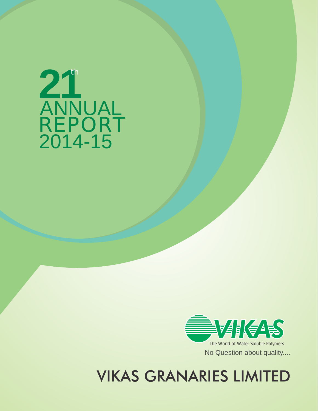

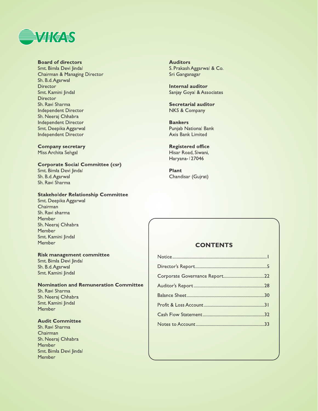

## **Board of directors**

Smt. Bimla Devi Jindal Chairman & Managing Director Sh. B.d. Agarwal Director Smt. Kamini Jindal **Director** Sh. Ravi Sharma Independent Director Sh. Neeraj Chhabra Independent Director Smt. Deepika Aggarwal Independent Director

**Company secretary** Miss Archita Sehgal

**Corporate Social Committee (csr)** 

Smt. Bimla Devi Jindal Sh. B.d. Agarwal Sh. Ravi Sharma

## **Stakeholder Relationship Committee**

Smt. Deepika Aggarwal Chairman Sh. Ravi sharma Member Sh. Neeraj Chhabra Member Smt. Kamini Jindal Member

## **Risk management committee**

Smt. Bimla Devi Jindal Sh. B.d. Agarwal Smt. Kamini Jindal

## **Nomination and Remuneration Committee**

Sh. Ravi Sharma Sh. Neeraj Chhabra Smt. Kamini Jindal Member

## **Audit Committee**

Sh. Ravi Sharma Chairman Sh. Neeraj Chhabra Member Smt. Bimla Devi Jindal Member

## **Auditors** S. Prakash Aggarwal & Co. Sri Ganganagar

**Internal auditor** Sanjay Goyal & Associates

**Secretarial auditor NKS & Company** 

**Bankers Punjab National Bank** Axis Bank Limited

**Registered office** Hisar Road, Siwani, Haryana-127046

**Plant** Chandisar (Gujrat)

## **CONTENTS**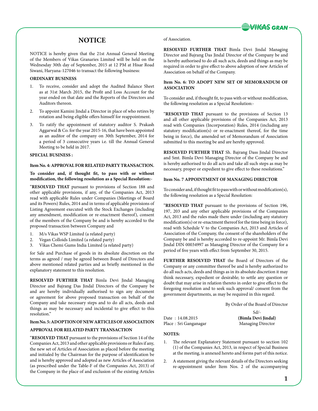

## **NOTICE**

NOTICE is hereby given that the 21st Annual General Meeting of the Members of Vikas Granaries Limited will be held on the Wednesday 30th day of September, 2015 at 12 PM at Hisar Road Siwani, Haryana-127046 to transact the following business:

### **ORDINARY BUSINESS**

- 1. To receive, consider and adopt the Audited Balance Sheet as at 31st March 2015, the Profit and Loss Account for the year ended on that date and the Reports of the Directors and Auditors thereon.
- 2. To appoint Kamini Jindal a Director in place of who retires by rotation and being eligible offers himself for reappointment.
- 3. To ratify the appointment of statutory auditor S. Prakash Aggarwal & Co. for the year 2015-16, that have been appointed as an auditor of the company on 30th September, 2014 for a period of 3 consecutive years i.e. till the Annual General Meeting to be held in 2017.

## **SPECIAL BUSINESS :**

## **Item No. 4: APPROVAL FOR RELATED PARTY TRANSACTION.**

**To consider and, if thought fit, to pass with or without modification, the following resolution as a Special Resolution:-** 

"**RESOLVED THAT** pursuant to provisions of Section 188 and other applicable provisions, if any, of the Companies Act, 2013 read with applicable Rules under Companies (Meetings of Board and its Powers) Rules, 2014 and in terms of applicable provisions of Listing Agreement executed with the Stock Exchanges (including any amendment, modification or re-enactment thereof), consent of the members of the Company be and is hereby accorded to the proposed transaction between Company and

- 1. M/s Vikas WSP Limited (a related party)
- 2. Vegan Colloids Limited (a related party)
- 3. Vikas Chemi Gums India Limited (a related party)

for Sale and Purchase of goods in its absolute discretion on the terms as agreed / may be agreed between Board of Directors and above mentioned related parties and as briefly mentioned in the explanatory statement to this resolution.

**RESOLVED FURTHER THAT** Bimla Devi Jindal Managing Director and Bajrang Das Jindal Directors of the Company be and are hereby individually authorised to sign any document or agreement for above proposed transaction on behalf of the Company and take necessary steps and to do all acts, deeds and things as may be necessary and incidental to give effect to this resolution."

#### **Item No. 5: ADOPTION OF NEW ARTICLES OF ASSOCIATION**

#### **APPROVAL FOR RELATED PARTY TRANSACTION**

"**RESOLVED THAT** pursuant to the provisions of Section 14 of the Companies Act, 2013 and other applicable provisions or Rules if any, the new set of Articles of Association as placed before the meeting and initialed by the Chairman for the purpose of identification be and is hereby approved and adopted as new Articles of Association (as prescribed under the Table-F of the Companies Act, 2013) of the Company in the place of and exclusion of the existing Articles

#### of Association.

**RESOLVED FURTHER THAT** Bimla Devi Jindal Managing Director and Bajrang Das Jindal Director of the Company be and is hereby authorised to do all such acts, deeds and things as may be required in order to give effect to above adoption of new Articles of Association on behalf of the Company.

## **Item No. 6: TO ADOPT NEW SET OF MEMORANDUM OF ASSOCIATION**

To consider and, if thought fit, to pass with or without modification, the following resolution as a Special Resolution:-

"**RESOLVED THAT** pursuant to the provisions of Section 13 and all other applicable provisions of the Companies Act, 2013 read with Companies (Incorporation) Rules, 2014 (including any statutory modification(s) or re-enactment thereof, for the time being in force), the amended set of Memorandum of Association submitted to this meeting be and are hereby approved.

**RESOLVED FURTHER THAT** Sh. Bajrang Dass Jindal Director and Smt. Bimla Devi Managing Director of the Company be and is hereby authorised to do all acts and take all such steps as may be necessary, proper or expedient to give effect to these resolutions."

### **Item No. 7 APPOINTMENT OF MANAGING DIRECTOR**

To consider and, if thought fit to pass with or without modification(s), the following resolution as a Special Resolution:

"**RESOLVED THAT** pursuant to the provisions of Section 196, 197, 203 and any other applicable provisions of the Companies Act, 2013 and the rules made there under (including any statutory modification(s) or re-enactment thereof for the time being in force), read with Schedule V to the Companies Act, 2013 and Articles of Association of the Company, the consent of the shareholders of the Company be and is hereby accorded to re-appoint Mr. Bimla Devi Jindal DIN 00034997 as Managing Director of the Company for a period of five years with effect from September 30, 2015.

**FURTHER RESOLVED THAT** the Board of Directors of the Company or any committee thereof be and is hereby authorized to do all such acts, deeds and things as in its absolute discretion it may think necessary, expedient or desirable; to settle any question or doubt that may arise in relation thereto in order to give effect to the foregoing resolution and to seek such approval/ consent from the government departments, as may be required in this regard.

By Order of the Board of Director

|                        | $Sd/$ -                  |
|------------------------|--------------------------|
| Date: 14.08.2015       | (Bimla Devi Jindal)      |
| Place : Sri Ganganagar | <b>Managing Director</b> |

## **NOTES:**

- 1. The relevant Explanatory Statement pursuant to section 102 (1) of the Companies Act, 2013, in respect of Special Business at the meeting, is annexed hereto and forms part of this notice.
- 2. A statement giving the relevant details of the Directors seeking re-appointment under Item Nos. 2 of the accompanying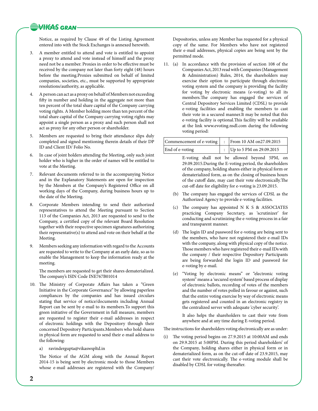## **VIKAS GRAN**

Notice, as required by Clause 49 of the Listing Agreement entered into with the Stock Exchanges is annexed herewith.

- 3. A member entitled to attend and vote is entitled to appoint a proxy to attend and vote instead of himself and the proxy need not be a member. Proxies in order to be effective must be received by the company not later than forty eight (48) hours before the meeting.Proxies submitted on behalf of limited companies, societies, etc., must be supported by appropriate resolutions/authority, as applicable.
- 4. A person can act as a proxy on behalf of Members not exceeding fifty in number and holding in the aggregate not more than ten percent of the total share capital of the Company carrying voting rights. A Member holding more than ten percent of the total share capital of the Company carrying voting rights may appoint a single person as a proxy and such person shall not act as proxy for any other person or shareholder.
- 5. Members are requested to bring their attendance slips duly completed and signed mentioning therein details of their DP ID and Client ID/ Folio No.
- 6. In case of joint holders attending the Meeting, only such joint holder who is higher in the order of names will be entitled to vote at the Meeting.
- 7. Relevant documents referred to in the accompanying Notice and in the Explanatory Statements are open for inspection by the Members at the Company's Registered Office on all working days of the Company, during business hours up to the date of the Meeting.
- 8. Corporate Members intending to send their authorized representatives to attend the Meeting pursuant to Section 113 of the Companies Act, 2013 are requested to send to the Company, a certified copy of the relevant Board Resolution together with their respective specimen signatures authorizing their representative(s) to attend and vote on their behalf at the Meeting.
- 9. Members seeking any information with regard to the Accounts are requested to write to the Company at an early date, so as to enable the Management to keep the information ready at the meeting.

The members are requested to get their shares dematerialized. The company's ISIN Code INE767B01014

- 10. The Ministry of Corporate Affairs has taken a "Green Initiative in the Corporate Governance" by allowing paperless compliances by the companies and has issued circulars stating that service of notice/documents including Annual Report can be sent by e-mail to its members.To support this green initiative of the Government in full measure, members are requested to register their e-mail addresses in respect of electronic holdings with the Depository through their concerned Depository Participants.Members who hold shares in physical form are requested to send their e-mail address to the following:
	- a) ravindergupta@vikaswspltd.in

The Notice of the AGM along with the Annual Report 2014-15 is being sent by electronic mode to those Members whose e-mail addresses are registered with the Company/ Depositories, unless any Member has requested for a physical copy of the same. For Members who have not registered their e-mail addresses, physical copies are being sent by the permitted mode.

11. (a) In accordance with the provision of section 108 of the Companies Act, 2013 read with Companies (Management & Administration) Rules, 2014, the shareholders may exercise their option to participate through electronic voting system and the company is providing the facility for voting by electronic means (e-voting) to all its members.The company has engaged the services of Central Depository Services Limited (CDSL) to provide e-voting facilities and enabling the members to cast their vote in a secured manner.It may be noted that this e-voting facility is optional.This facility will be available at the link www.evoting.nsdl.com during the following voting period:

| Commencement of e-voting  :   From 10 AM on 27.09.2015 |                            |
|--------------------------------------------------------|----------------------------|
| End of e-voting                                        | : Up to 5 PM on 29.09.2015 |

E-voting shall not be allowed beyond 5PM, on 29.09.2015.During the E-voting period, the shareholders of the company, holding shares either in physical form or dematerialized form, as on the closing of business hours of the cutoff date, may cast their vote electronically.The cut-off date for eligibility for e-voting is 23.09.2015.

- (b) The company has engaged the services of CDSL as the Authorized Agency to provide e-voting facilities.
- (c) The company has appointed N K S & ASSOCIATES practicing Company Secretary, as 'scrutinizer' for conducting and scrutinizing the e-voting process in a fair and transparent manner.
- (d) The login ID and password for e-voting are being sent to the members, who have not registered their e-mail IDs with the company, along with physical copy of the notice. Those members who have registered their e-mail IDs with the company / their respective Depository Participants are being forwarded the login ID and password for e-voting by e-mail.
- (e) "Voting by electronic means" or "electronic voting system" means a 'secured system' based process of display of electronic ballots, recording of votes of the members and the number of votes polled in favour or against, such that the entire voting exercise by way of electronic means gets registered and counted in an electronic registry in the centralized server with adequate 'cyber security'.

It also helps the shareholders to cast their vote from anywhere and at any time during E-voting period.

The instructions for shareholders voting electronically are as under:

(i) The voting period begins on 27.9.2015 at 10:00AM and ends on 29.9.2015 at 5:00PM. During this period shareholders' of the Company, holding shares either in physical form or in dematerialized form, as on the cut-off date of 23.9.2015, may cast their vote electronically. The e-voting module shall be disabled by CDSL for voting thereafter.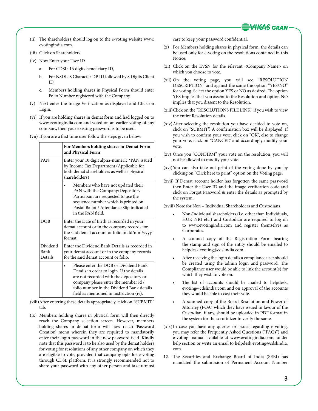

- (ii) The shareholders should log on to the e-voting website www. evotingindia.com.
- (iii) Click on Shareholders.
- (iv) Now Enter your User ID
	- a. For CDSL: 16 digits beneficiary ID,
	- b. For NSDL: 8 Character DP ID followed by 8 Digits Client ID,
	- c. Members holding shares in Physical Form should enter Folio Number registered with the Company.
- (v) Next enter the Image Verification as displayed and Click on Login.
- (vi) If you are holding shares in demat form and had logged on to www.evotingindia.com and voted on an earlier voting of any company, then your existing password is to be used.
- (vii) If you are a first time user follow the steps given below:

|                             | For Members holding shares in Demat Form<br>and Physical Form                                                                                                                                                                                                 |  |  |  |  |  |  |
|-----------------------------|---------------------------------------------------------------------------------------------------------------------------------------------------------------------------------------------------------------------------------------------------------------|--|--|--|--|--|--|
| <b>PAN</b>                  | Enter your 10 digit alpha-numeric *PAN issued<br>by Income Tax Department (Applicable for<br>both demat shareholders as well as physical<br>shareholders)                                                                                                     |  |  |  |  |  |  |
|                             | Members who have not updated their<br>PAN with the Company/Depository<br>Participant are requested to use the<br>sequence number which is printed on<br>Postal Ballot / Attendance Slip indicated<br>in the PAN field.                                        |  |  |  |  |  |  |
| <b>DOB</b>                  | Enter the Date of Birth as recorded in your<br>demat account or in the company records for<br>the said demat account or folio in dd/mm/yyyy<br>format.                                                                                                        |  |  |  |  |  |  |
| Dividend<br>Bank<br>Details | Enter the Dividend Bank Details as recorded in<br>your demat account or in the company records<br>for the said demat account or folio.                                                                                                                        |  |  |  |  |  |  |
|                             | Please enter the DOB or Dividend Bank<br>Details in order to login. If the details<br>are not recorded with the depository or<br>company please enter the member id /<br>folio number in the Dividend Bank details<br>field as mentioned in instruction (iv). |  |  |  |  |  |  |

- (viii)After entering these details appropriately, click on "SUBMIT" tab.
- (ix) Members holding shares in physical form will then directly reach the Company selection screen. However, members holding shares in demat form will now reach 'Password Creation' menu wherein they are required to mandatorily enter their login password in the new password field. Kindly note that this password is to be also used by the demat holders for voting for resolutions of any other company on which they are eligible to vote, provided that company opts for e-voting through CDSL platform. It is strongly recommended not to share your password with any other person and take utmost

care to keep your password confidential.

- (x) For Members holding shares in physical form, the details can be used only for e-voting on the resolutions contained in this Notice.
- (xi) Click on the EVSN for the relevant <Company Name> on which you choose to vote.
- (xii) On the voting page, you will see "RESOLUTION DESCRIPTION" and against the same the option "YES/NO" for voting. Select the option YES or NO as desired. The option YES implies that you assent to the Resolution and option NO implies that you dissent to the Resolution.
- (xiii)Click on the "RESOLUTIONS FILE LINK" if you wish to view the entire Resolution details.
- (xiv)After selecting the resolution you have decided to vote on, click on "SUBMIT". A confirmation box will be displayed. If you wish to confirm your vote, click on "OK", else to change your vote, click on "CANCEL" and accordingly modify your vote.
- (xv) Once you "CONFIRM" your vote on the resolution, you will not be allowed to modify your vote.
- (xvi)You can also take out print of the voting done by you by clicking on "Click here to print" option on the Voting page.
- (xvii) If Demat account holder has forgotten the same password then Enter the User ID and the image verification code and click on Forgot Password & enter the details as prompted by the system.

(xviii) Note for Non – Individual Shareholders and Custodians

- Non-Individual shareholders (i.e. other than Individuals, HUF, NRI etc.) and Custodian are required to log on to www.evotingindia.com and register themselves as Corporates.
- A scanned copy of the Registration Form bearing the stamp and sign of the entity should be emailed to helpdesk.evoting@cdslindia.com.
- After receiving the login details a compliance user should be created using the admin login and password. The Compliance user would be able to link the account(s) for which they wish to vote on.
- The list of accounts should be mailed to helpdesk. evoting@cdslindia.com and on approval of the accounts they would be able to cast their vote.
- A scanned copy of the Board Resolution and Power of Attorney (POA) which they have issued in favour of the Custodian, if any, should be uploaded in PDF format in the system for the scrutinizer to verify the same.
- (xix)In case you have any queries or issues regarding e-voting, you may refer the Frequently Asked Questions ("FAQs") and e-voting manual available at www.evotingindia.com, under help section or write an email to helpdesk.evoting@cdslindia. com.
- 12. The Securities and Exchange Board of India (SEBI) has mandated the submission of Permanent Account Number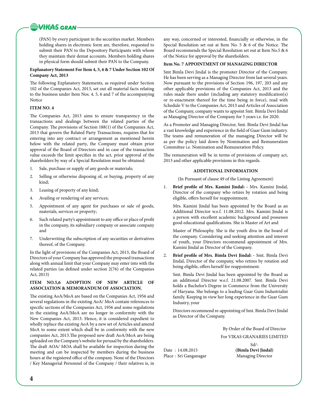**WHEAS GRAN** 

(PAN) by every participant in the securities market. Members holding shares in electronic form are, therefore, requested to submit their PAN to the Depository Participants with whom they maintain their demat accounts. Members holding shares in physical form should submit their PAN to the Company.

### **Explanatory Statement For Item 4, 5, 6 & 7 Under Section 102 Of Company Act, 2013**

The following Explanatory Statements, as required under Section 102 of the Companies Act, 2013, set out all material facts relating to the business under Item Nos. 4, 5, 6 and 7 of the accompanying Notice

## **ITEM NO. 4**

The Companies Act, 2013 aims to ensure transparency in the transactions and dealings between the related parties of the Company. The provisions of Section 188(1) of the Companies Act, 2013 that govern the Related Party Transactions, requires that for entering into any contract or arrangement as mentioned herein below with the related party, the Company must obtain prior approval of the Board of Directors and in case of the transaction value exceeds the limit specifies in the act, prior approval of the shareholders by way of a Special Resolution must be obtained:

- 1. Sale, purchase or supply of any goods or materials;
- 2. Selling or otherwise disposing of, or buying, property of any kind;
- 3. Leasing of property of any kind;
- 4. Availing or rendering of any services;
- 5. Appointment of any agent for purchases or sale of goods, materials, services or property;
- 6. Such related party's appointment to any office or place of profit in the company, its subsidiary company or associate company and
- 7. Underwriting the subscription of any securities or derivatives thereof, of the Company.

In the light of provisions of the Companies Act, 2013, the Board of Directors of your Company has approved the proposed transactions along with annual limit that your Company may enter into with the related parties (as defined under section 2(76) of the Companies Act, 2013)

## **ITEM NO.5,6 ADOPTION OF NEW ARTICLE OF ASSOCIATION & MEMORANDUM OF ASSOCIATION.**

The existing AoA/MoA are based on the Companies Act, 1956 and several regulations in the existing AoA/ MoA contain references to specific sections of the Companies Act, 1956 and some regulations in the existing AoA/MoA are no longer in conformity with the New Companies Act, 2013. Hence, it is considered expedient to wholly replace the existing AoA by a new set of Articles and amend MoA to some extent which shall be in conformity with the new companies Act, 2013.The proposed new draft AoA/MoA are being uploaded on the Company's website for perusal by the shareholders. The draft AOA/ MOA shall be available for inspection during the meeting and can be inspected by members during the business hours at the registered office of the company. None of the Directors / Key Managerial Personnel of the Company / their relatives is, in

any way, concerned or interested, financially or otherwise, in the Special Resolution set out at Item No. 5 & 6 of the Notice. The Board recommends the Special Resolution set out at Item No.5 & 6 of the Notice for approval by the shareholders.

## **Item No. 7 APPOINTMENT OF MANAGING DIRECTOR**

Smt Bimla Devi Jindal is the promoter Director of the Company. He has been serving as a Managing Director from last several years. Now pursuant to the provisions of Section 196, 197, 203 and any other applicable provisions of the Companies Act, 2013 and the rules made there under (including any statutory modification(s) or re-enactment thereof for the time being in force), read with Schedule V to the Companies Act, 2013 and Articles of Association of the Company, company wants to appoint Smt. Bimla Devi Jindal as Managing Director of the Company for 5 years i.e. for 2020.

As a Promoter and Managing Director, Smt. Bimla Devi Jindal has a vast knowledge and experience in the field of Guar Gum industry. The teams and remuneration of the managing Director will be as per the policy laid down by Nomination and Remuneration Committee i.e. Nomination and Remuneration Policy.

The remuneration will be in terms of provisions of company act, 2013 and other applicable provisions in this regards.

### **Additional Information**

(In Pursuant of clause 49 of the Listing Agreement)

1. **Brief profile of Mrs. Kamini Jindal: -** Mrs. Kamini Jindal, Director of the company who retires by rotation and being eligible, offers herself for reappointment.

Mrs. Kamini Jindal has been appointed by the Board as an Additional Director w.e.f. 11.08.2012. Mrs. Kamini Jindal is a person with excellent academic background and possesses good educational qualifications. She is Master of Art and

Master of Philosophy. She is the youth diva in the board of the company. Considering and seeking attention and interest of youth, your Directors recommend appointment of Mrs. Kamini Jindal as Director of the Company.

2. **Brief profile of Mrs. Bimla Devi Jindal: -** Smt. Bimla Devi Jindal, Director of the company, who retires by rotation and being eligible, offers herself for reappointment.

Smt. Bimla Devi Jindal has been appointed by the Board as an additional Director w.e.f. 21.08.2007. Smt. Bimla Devi holds a Bachelor's Degree in Commerce from the University of Haryana. She belongs to a leading Guar Gum Industrialist family. Keeping in view her long experience in the Guar Gum Industry, your

Directors recommend re-appointing of Smt. Bimla Devi Jindal as Director of the Company.

> By Order of the Board of Director For VIKAS GRANARIES LIMITED

Date : 14.08.2015 **(Bimla Devi Jindal)** Place : Sri Ganganagar Managing Director

Sd/-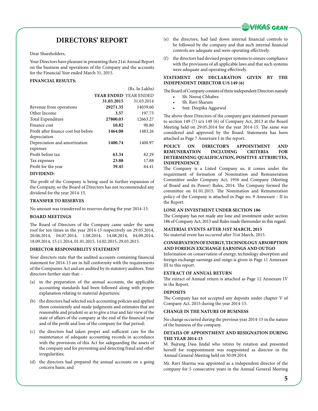

## **DIRECTORS' REPORT**

Dear Shareholders,

Your Directors have pleasure in presenting their 21st Annual Report on the business and operations of the Company and the accounts for the Financial Year ended March 31, 2015.

## **FINANCIAL RESULTS:**

|                                      |                              | (Rs. In Lakhs) |
|--------------------------------------|------------------------------|----------------|
|                                      | <b>YEAR ENDED YEAR ENDED</b> |                |
|                                      | 31.03.2015                   | 31.03.2014     |
| Revenue from operations              | 29271.35                     | 14039.60       |
| Other Income                         | 3.57                         | 197.73         |
| Total Expenditure                    | 27800.03                     | 12663.27       |
| Finance cost                         | 10.82                        | 90.80          |
| Profit after finance cost but before | 1464.08                      | 1483.26        |
| depreciation                         |                              |                |
| Depreciation and amortization        | 1400.74                      | 1400.97        |
| expenses                             |                              |                |
| Profit before tax                    | 63.34                        | 82.29          |
| Tax expenses                         | 23.88                        | 17.88          |
| Profit for the year                  | 39.45                        | 64.41          |
| DIVIDENID                            |                              |                |

#### **DIVIDEND:**

The profit of the Company is being used in further expansion of the Company, so the Board of Directors has not recommended any dividend for the year 2014-15.

## **TRANSFER TO RESERVES**

No amount was transferred to reserves during the year 2014-15.

## **Board Meetings**

The Board of Directors of the Company came under the same roof for ten times in the year 2014-15 respectively on 29.05.2014, 20.06.2014, 04.07.2014, 1.08.2014, 14.08.2014, 04.09.2014, 18.09.2014, 15.11.2014, 01.01.2015, 14.02.2015, 29.03.2015.

## **DIRECTOR RESPONSIBILITY STATEMENT**

Your directors state that the audited accounts containing financial statement for 2014-15 are in full conformity with the requirements of the Companies Act and are audited by its statutory auditors. Your directors further state that: -

- (a) in the preparation of the annual accounts, the applicable accounting standards had been followed along with proper explanation relating to material departures;
- (b) the directors had selected such accounting policies and applied them consistently and made judgments and estimates that are reasonable and prudent so as to give a true and fair view of the state of affairs of the company at the end of the financial year and of the profit and loss of the company for that period;
- (c) the directors had taken proper and sufficient care for the maintenance of adequate accounting records in accordance with the provisions of this Act for safeguarding the assets of the company and for preventing and detecting fraud and other irregularities;
- (d) the directors had prepared the annual accounts on a going concern basis; and
- (e) the directors, had laid down internal financial controls to be followed by the company and that such internal financial controls are adequate and were operating effectively.
- (f) the directors had devised proper systems to ensure compliance with the provisions of all applicable laws and that such systems were adequate and operating effectively.

## **STATEMENT ON DECLARATION GIVEN BY THE INDEPENDENT DIRECTOR U/S 149 (6)**

The Board of Company consists of three independent Directors namely

- Sh. Neeraj Chhabra
- Sh. Ravi Sharam
- Smt. Deepika Aggarwal

The above three Directors of the company gave statement pursuant to section 149 (7) u/s 149 (6) of Company Act, 2013 at the Board Meeting held on 29.05.2014 for the year 2014-15. The same was considered and approved by the Board. Statements has been attached as Page 7 Annexure I in the report.

## **POLICY ON DIRECTOR'S APPOINTMENT AND REMUNERATION INCLUDING CRITERIA FOR DETERMINING QUALIFICATION, POSITIVE ATTRIBUTES, INDEPENDENCE**

The Company is a Listed Company so, it comes under the requirement of formation of Nomination and Remuneration Committee under Company Act, 1956 and Company (Meeting of Board and its Power) Rules, 2014. The Company formed the committee on 01.01.2015. The Nomination and Remuneration policy of the Company is attached in Page no. 9 Annexure - II to the Report.

## **LONE AN INVESTMENT UNDER SECTION 186**

The Company has not made any lone and investment under section 186 of Company Act, 2013 and Rules made thereunder in this regard.

### **MATERIAL EVENTS AFTER 31ST MARCH, 2015**

No material event has occurred after 31st March, 2015.

## **CONSERVATION OF ENERGY, TECHNOLOGY ABSORPTION AND FOREIGN EXCHANGE EARNINGS AND OUTGO**

Information on conservation of energy, technology absorption and foreign exchange earnings and outgo is given in Page 11 Annexure III to this report.

## **EXTRACT OF ANNUAL RETURN**

The extract of Annual return is attached as Page 12 Annexure IV in the Report.

## **DEPOSITS**

The Company has not accepted any deposits under chapter V of Company Act, 2015 during the year 2014-15.

## **CHANGE IN THE NATURE OF BUSINESS**

No change occurred during the previous year 2014-15 in the nature of the business of the company.

### **DETAILS OF APPOINTMENT AND RESIGNATION DURING THE YEAR 2014-15**

M. Bajrang Dass Jindal who retires by rotation and presented herself for reappointment was reappointed as director in the Annual General Meeting held on 30.09.2014.

Mr. Ravi Sharma was appointed as a independent director of the company for 5 consecutive years in the Annual General Meeting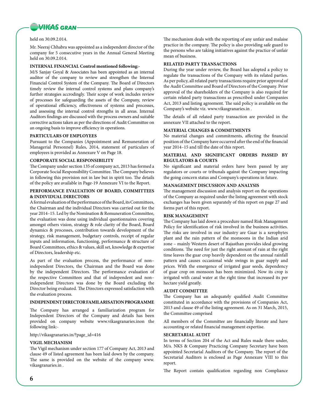

### held on 30.09.2.014.

Mr. Neeraj Chhabra was appointed as a independent director of the company for 5 consecutive years in the Annual General Meeting held on 30.09.2.014.

## **INTERNAL FINANCIAL Control mentioned following:-**

M/S Sanjay Goyal & Associates has been appointed as an internal auditor of the company to review and strengthen the Internal Financial Control System of the Company. The Board of Directors timely review the internal control systems and plans company's further strategies accrodingly. Their scope of work includes review of processes for safeguarding the assets of the Company, review of operational efficiency, effectiveness of systems and processes, and assessing the internal control strengths in all areas. Internal Auditors findings are discussed with the process owners and suitable corrective actions taken as per the directions of Audit Committee on an ongoing basis to improve efficiency in operations.

### **Particulars of Employees**

Pursuant to the Companies (Appointment and Remuneration of Managerial Personnel) Rules, 2014, statement of particulars of employees is provided as Annexure V on Page 18.

### **CORPORATE SOCIAL RESPONSIBILITY**

The Company under section 135 of company act, 2013 has formed a Corporate Social Responsibility Committee. The Company believes in following this provision not in law but in spirit too. The details of the policy are available in Page-19 Annexure VI to the Report.

## **PERFORMANCE EVALUATION OF BOARD, COMMITTEES & INDIVIDUAL DIRECTORS**

A formal evaluation of the performance of the Board, its Committees, the Chairman and the individual Directors was carried out for the year 2014–15. Led by the Nomination & Remuneration Committee, the evaluation was done using individual questionnaires covering amongst others vision, strategy & role clarity of the Board, Board dynamics & processes, contribution towards development of the strategy, risk management, budgetary controls, receipt of regular inputs and information, functioning, performance & structure of Board Committees, ethics & values, skill set, knowledge & expertise of Directors, leadership etc.

As part of the evaluation process, the performance of non– independent Directors, the Chairman and the Board was done by the independent Directors. The performance evaluation of the respective Committees and that of independent and non– independent Directors was done by the Board excluding the Director being evaluated. The Directors expressed satisfaction with the evaluation process.

## **INDEPENDENT DIRECTOR FAMILARISATION PROGRAMME**

The Company has arranged a familiarization program for Independent Directors of the Company and details has been provided on company website www.vikasgranaries.inon the following link:-

## http://vikasgranaries.in/?page\_id=416

### **VIGIL MECHANISM**

The Vigil mechanism under section 177 of Company Act, 2013 and clause 49 of listed agreement has been laid down by the company. The same is provided on the website of the company www. vikasgranaries.in .

The mechanism deals with the reporting of any unfair and malaise practice in the company. The policy is also providing safe guard to the persons who are taking initiatives against the practice of unfair mean of business.

#### **RELATED PARTY TRANSACTIONS**

During the year under review, the Board has adopted a policy to regulate the transactions of the Company with its related parties. As per policy, all related party transactions require prior approval of the Audit Committee and Board of Directors of the Company. Prior approval of the shareholders of the Company is also required for certain related party transactions as prescribed under Companies Act, 2013 and listing agreement. The said policy is available on the Company's website viz. www.vikasgranaries.in .

The details of all related party transaction are provided in the annexure VII attached to the report.

## **MATERIAL CHANGES & COMMITMENTS**

No material changes and commitments, affecting the financial position of the Company have occurred after the end of the financial year 2014–15 and till the date of this report.

## **MATERIAL AND SIGNIFICANT ORDERS PASSED BY REGULATORS & COURTS**

No significant and material orders have been passed by any regulators or courts or tribunals against the Company impacting the going concern status and Company's operations in future.

## **MANAGEMENT DISCUSSION AND ANALYSIS**

The management discussion and analysis report on the operations of the Company as required under the listing agreement with stock exchanges has been given separately of this report on page 27 and forms part of this report.

### **RISK MANAGEMENT**

The Company has laid down a procedure named Risk Management Policy for identification of risk involved in the business activities. The risks are involved in our industry are Guar is a xerophytes plant and the rain pattern of the monsoons in the Indian arid zone – mainly Western desert of Rajasthan provides ideal growing conditions. The need for just the right amount of rain at the right time leaves the guar crop heavily dependent on the annual rainfall pattern and causes occasional wide swings in guar supply and prices. With the emergence of irrigated guar seeds, dependency of guar crop on monsoon has been minimized. Now its crop is irrigated with canal water at the right time that increased its per hectare yield greatly.

#### **AUDIT COMMITTEE**

The Company has an adequately qualified Audit Committee constituted in accordance with the provisions of Companies Act, 2013 and clause 49 of the listing agreement. As on 31 March, 2015, the Committee comprised

All members of the Committee are financially literate and have accounting or related financial management expertise.

## **Secretarial Audit**

In terms of Section 204 of the Act and Rules made there under, M/s. NKS & Company Practicing Company Secretary have been appointed Secretarial Auditors of the Company. The report of the Secretarial Auditors is enclosed as Page Annexure VIII to this report.

The Report contain qualification regarding non Compliance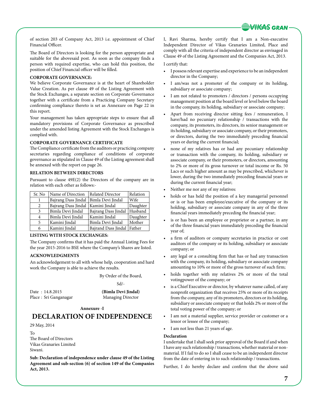

of section 203 of Company Act, 2013 i.e. appointment of Chief Financial Officer.

The Board of Directors is looking for the person appropriate and suitable for the abovesaid post. As soon as the company finds a person with required expertise, who can hold this position, the position of Chief Financial officer will be filled.

## **CORPORATE GOVERNANCE:**

We believe Corporate Governance is at the heart of Shareholder Value Creation. As per clause 49 of the Listing Agreement with the Stock Exchanges, a separate section on Corporate Governance together with a certificate from a Practicing Company Secretary confirming compliance thereto is set as Annexure on Page 22 in this report.

Your management has taken appropriate steps to ensure that all mandatory provisions of Corporate Governance as prescribed under the amended listing Agreement with the Stock Exchanges is complied with.

### **Corporate Governance Certificate**

The Compliance certificate from the auditors or practicing company secretaries regarding compliance of conditions of corporate governance as stipulated in Clause 49 of the Listing agreement shall be annexed with the report on page 26.

## **RELATION BETWEEN DIRECTORS**

Pursuant to clause 49E(2) the Directors of the company are in relation with each other as follows:-

| Sr. No | Name of Direction   | Related Director             | Relation |
|--------|---------------------|------------------------------|----------|
|        | Bajrang Dass Jindal | Bimla Devi Jindal            | Wife     |
| 2      | Bajrang Dass Jindal | Kamini Jindal                | Daughter |
| 3      | Bimla Devi Jindal   | Bajrang Dass Jindal          | Husband  |
| 4      | Bimla Devi Jindal   | Kamini Jindal                | Daughter |
| 5      | Kamini Jindal       | Bimla Devi Jindal            | Mother   |
| 6      | Kamini Jindal       | Bajrand Dass Jindal   Father |          |

### **LISTING WITH STOCK EXCHANGES:**

The Company confirms that it has paid the Annual Listing Fees for the year 2015-2016 to BSE where the Company's Shares are listed.

#### **ACKNOWLEDGMENTS**

An acknowledgement to all with whose help, cooperation and hard work the Company is able to achieve the results.

By Order of the Board,

Sd/-

Date : 14.8.2015 **(Bimla Devi Jindal)** Place : Sri Ganganagar Managing Director

## **Annexure -I**

## **DECLARATION OF INDEPENDENCE**

29 May, 2014

To

The Board of Directors Vikas Granaries Limited Siwani.

**Sub: Declaration of independence under clause 49 of the Listing Agreement and sub-section (6) of section 149 of the Companies Act, 2013.**

I, Ravi Sharma, hereby certify that I am a Non-executive Independent Director of Vikas Granaries Limited, Place and comply with all the criteria of independent director as envisaged in Clause 49 of the Listing Agreement and the Companies Act, 2013.

#### I certify that:

- I possess relevant expertise and experience to be an independent director in the Company;
- I am/was not a promoter of the company or its holding, subsidiary or associate company;
- I am not related to promoters / directors / persons occupying management position at the board level or level below the board in the company, its holding, subsidiary or associate company;
- Apart from receiving director sitting fees / remuneration, I have/had no pecuniary relationship / transactions with the company, its promoters, its directors, its senior management or its holding, subsidiary or associate company, or their promoters, or directors, during the two immediately preceding financial years or during the current financial;
- none of my relatives has or had any pecuniary relationship or transaction with the company, its holding, subsidiary or associate company, or their promoters, or directors, amounting to 2% or more of its gross turnover or total income or Rs. 50 Lacs or such higher amount as may be prescribed, whichever is lower, during the two immediately preceding financial years or during the current financial year;
- Neither me nor any of my relatives:
- holds or has held the position of a key managerial personnel or is or has been employee/executive of the company or its holding, subsidiary or associate company in any of the three financial years immediately preceding the financial year;
- is or has been an employee or proprietor or a partner, in any of the three financial years immediately preceding the financial year of;
- a firm of auditors or company secretaries in practice or cost auditors of the company or its holding, subsidiary or associate company; or
- any legal or a consulting firm that has or had any transaction with the company, its holding, subsidiary or associate company amounting to 10% or more of the gross turnover of such firm;
- holds together with my relatives 2% or more of the total votingpower of the company; or
- is a Chief Executive or director, by whatever name called, of any nonprofit organization that receives 25% or more of its receipts from the company, any of its promoters, directors or its holding, subsidiary or associate company or that holds 2% or more of the total voting power of the company; or
- I am not a material supplier, service provider or customer or a lessor or lessee of the company;
- I am not less than 21 years of age.

#### **Declaration**

I undertake that I shall seek prior approval of the Board if and when I have any such relationship / transactions, whether material or nonmaterial. If I fail to do so I shall cease to be an independent director from the date of entering in to such relationship / transactions.

Further, I do hereby declare and confirm that the above said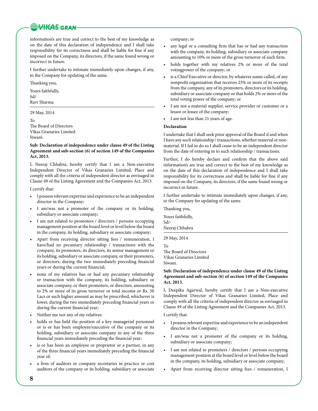## **WIGAS GRAN**

information's are true and correct to the best of my knowledge as on the date of this declaration of independence and I shall take responsibility for its correctness and shall be liable for fine if any imposed on the Company, its directors, if the same found wrong or incorrect in future.

I further undertake to intimate immediately upon changes, if any, to the Company for updating of the same.

Thanking you,

Yours faithfully, Sd/-

Ravi Sharma

29 May, 2014

To The Board of Directors Vikas Granaries Limited Siwani.

## **Sub: Declaration of independence under clause 49 of the Listing Agreement and sub-section (6) of section 149 of the Companies Act, 2013.**

I, Neeraj Chhabra, hereby certify that I am a Non-executive Independent Director of Vikas Granaries Limited, Place and comply with all the criteria of independent director as envisaged in Clause 49 of the Listing Agreement and the Companies Act, 2013.

I certify that:

- I possess relevant expertise and experience to be an independent director in the Company;
- I am/was not a promoter of the company or its holding, subsidiary or associate company;
- I am not related to promoters / directors / persons occupying management position at the board level or level below the board in the company, its holding, subsidiary or associate company;
- Apart from receiving director sitting fees / remuneration, I have/had no pecuniary relationship / transactions with the company, its promoters, its directors, its senior management or its holding, subsidiary or associate company, or their promoters, or directors, during the two immediately preceding financial years or during the current financial;
- none of my relatives has or had any pecuniary relationship or transaction with the company, its holding, subsidiary or associate company, or their promoters, or directors, amounting to 2% or more of its gross turnover or total income or Rs. 50 Lacs or such higher amount as may be prescribed, whichever is lower, during the two immediately preceding financial years or during the current financial year;
- Neither me nor any of my relatives:
- holds or has held the position of a key managerial personnel or is or has been employee/executive of the company or its holding, subsidiary or associate company in any of the three financial years immediately preceding the financial year;
- is or has been an employee or proprietor or a partner, in any of the three financial years immediately preceding the financial year of;
- a firm of auditors or company secretaries in practice or cost auditors of the company or its holding, subsidiary or associate

company; or

- any legal or a consulting firm that has or had any transaction with the company, its holding, subsidiary or associate company amounting to 10% or more of the gross turnover of such firm;
- holds together with my relatives 2% or more of the total votingpower of the company; or
- is a Chief Executive or director, by whatever name called, of any nonprofit organization that receives 25% or more of its receipts from the company, any of its promoters, directors or its holding, subsidiary or associate company or that holds 2% or more of the total voting power of the company; or
- I am not a material supplier, service provider or customer or a lessor or lessee of the company;
- I am not less than 21 years of age.

## **Declaration**

I undertake that I shall seek prior approval of the Board if and when I have any such relationship / transactions, whether material or nonmaterial. If I fail to do so I shall cease to be an independent director from the date of entering in to such relationship / transactions.

Further, I do hereby declare and confirm that the above said information's are true and correct to the best of my knowledge as on the date of this declaration of independence and I shall take responsibility for its correctness and shall be liable for fine if any imposed on the Company, its directors, if the same found wrong or incorrect in future.

I further undertake to intimate immediately upon changes, if any, to the Company for updating of the same.

Thanking you,

Yours faithfully, Sd/-

Neeraj Chhabra

29 May, 2014

To

The Board of Directors Vikas Granaries Limited Siwani.

## **Sub: Declaration of independence under clause 49 of the Listing Agreement and sub-section (6) of section 149 of the Companies Act, 2013.**

I, Deepika Agarwal, hereby certify that I am a Non-executive Independent Director of Vikas Granaries Limited, Place and comply with all the criteria of independent director as envisaged in Clause 49 of the Listing Agreement and the Companies Act, 2013.

I certify that:

- I possess relevant expertise and experience to be an independent director in the Company;
- I am/was not a promoter of the company or its holding, subsidiary or associate company;
- I am not related to promoters / directors / persons occupying management position at the board level or level below the board in the company, its holding, subsidiary or associate company;
- • Apart from receiving director sitting fees / remuneration, I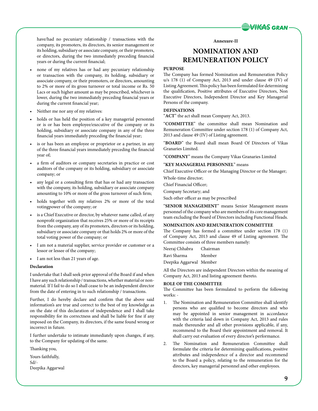

have/had no pecuniary relationship / transactions with the company, its promoters, its directors, its senior management or its holding, subsidiary or associate company, or their promoters, or directors, during the two immediately preceding financial years or during the current financial;

- none of my relatives has or had any pecuniary relationship or transaction with the company, its holding, subsidiary or associate company, or their promoters, or directors, amounting to 2% or more of its gross turnover or total income or Rs. 50 Lacs or such higher amount as may be prescribed, whichever is lower, during the two immediately preceding financial years or during the current financial year;
- Neither me nor any of my relatives:
- holds or has held the position of a key managerial personnel or is or has been employee/executive of the company or its holding, subsidiary or associate company in any of the three financial years immediately preceding the financial year;
- is or has been an employee or proprietor or a partner, in any of the three financial years immediately preceding the financial year of;
- a firm of auditors or company secretaries in practice or cost auditors of the company or its holding, subsidiary or associate company; or
- any legal or a consulting firm that has or had any transaction with the company, its holding, subsidiary or associate company amounting to 10% or more of the gross turnover of such firm;
- holds together with my relatives 2% or more of the total votingpower of the company; or
- is a Chief Executive or director, by whatever name called, of any nonprofit organization that receives 25% or more of its receipts from the company, any of its promoters, directors or its holding, subsidiary or associate company or that holds 2% or more of the total voting power of the company; or
- I am not a material supplier, service provider or customer or a lessor or lessee of the company;
- • I am not less than 21 years of age.

### **Declaration**

I undertake that I shall seek prior approval of the Board if and when I have any such relationship / transactions, whether material or nonmaterial. If I fail to do so I shall cease to be an independent director from the date of entering in to such relationship / transactions.

Further, I do hereby declare and confirm that the above said information's are true and correct to the best of my knowledge as on the date of this declaration of independence and I shall take responsibility for its correctness and shall be liable for fine if any imposed on the Company, its directors, if the same found wrong or incorrect in future.

I further undertake to intimate immediately upon changes, if any, to the Company for updating of the same.

Thanking you,

Yours faithfully, Sd/- Deepika Aggarwal

#### **Annexure-II**

## **NOMINATION AND REMUNERATION POLICY**

## **PURPOSE**

The Company has formed Nomination and Remuneration Policy u/s 178 (1) of Company Act, 2013 and under clause 49 (IV) of Listing Agreement. This policy has been formulated for determining the qualification, Positive attributes of Executive Directors, Non Executive Directors, Independent Director and Key Managerial Persons of the company.

## **DEFINATIONS**

"**ACT**" the act shall mean Company Act, 2013.

"**COMMITTEE**" the committee shall mean Nomination and Remuneration Committee under section 178 (1) of Company Act, 2013 and clause 49 (IV) of Listing agreement.

"**BOARD**" the Board shall mean Board Of Directors of Vikas Granaries Limited.

"**COMPANY**" means the Company Vikas Granaries Limited

## "**KEY MANAGERIAL PERSONNEL**" means

Chief Executive Officer or the Managing Director or the Manager; Whole-time director;

Chief Financial Officer;

Company Secretary; and

Such other officer as may be prescribed

"**SENIOR MANAGEMENT**" means Senior Management means personnel of the company who are members of its core management team excluding the Board of Directors including Functional Heads.

## **NOMINATION AND REMUNERATION COMMITTEE**

The Company has formed a committee under section 178 (1) of Company Act, 2013 and clause 49 of Listing agreement. The Committee consists of three members namely:

| Neeraj Chhabra          | Chairman |
|-------------------------|----------|
| Ravi Sharma             | Member   |
| Deepika Aggarwal Member |          |

All the Directors are independent Directors within the meaning of Company Act, 2013 and listing agreement thereto.

### **ROLE OF THE COMMITTEE**

The Committee has been formulated to perform the following works: -

- 1. The Nomination and Remuneration Committee shall identify persons who are qualified to become directors and who may be appointed in senior management in accordance with the criteria laid down in Company Act, 2013 and rules made thereunder and all other provisions applicable, if any, recommend to the Board their appointment and removal. It shall carry out evaluation of every director's performance.
- 2. The Nomination and Remuneration Committee shall formulate the criteria for determining qualifications, positive attributes and independence of a director and recommend to the Board a policy, relating to the remuneration for the directors, key managerial personnel and other employees.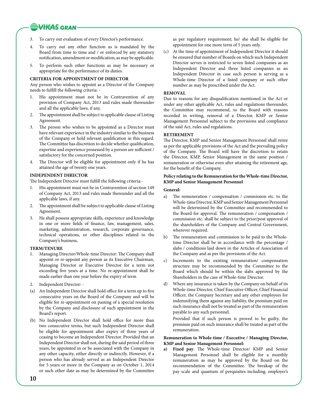## **WHEAS GRAN**

- 3. To carry out evaluation of every Director's performance.
- 4. To carry out any other function as is mandated by the Board from time to time and / or enforced by any statutory notification, amendment or modification, as may be applicable.
- 5. To perform such other functions as may be necessary or appropriate for the performance of its duties.

### **CRITERIA FOR APPOINTMENT OF DIRECTOR**

Any person who wishes to appoint as a Director of the Company needs to fulfill the following criteria: -

- His appointment must not be in Contravention of any provision of Company Act, 2013 and rules made thereunder and all the applicable laws, if any.
- 2. The appointment shall be subject to applicable clause of Listing Agreement.
- 3. The person who wishes to be appointed as a Director must have relevant experience in the industry similar to the business of the Company or hold relevant qualification in this regard. The Committee has discretion to decide whether qualification, expertise and experience possessed by a person are sufficient / satisfactory for the concerned position.
- 4. The Director will be eligible for appointment only if he has attained the age of twenty one years.

## **INDEPENDENT DIRECTOR**

The Independent Director must fulfill the following criteria:-

- His appointment must not be in Contravention of section 149 of Company Act, 2013 and rules made thereunder and all the applicable laws, if any.
- 2. The appointment shall be subject to applicable clause of Listing Agreement.
- 3. He shall possess appropriate skills, experience and knowledge in one or more fields of finance, law, management, sales, marketing, administration, research, corporate governance, technical operations, or other disciplines related to the Company's business,

## **TERM/TENURE**

- 1. Managing Director/Whole-time Director: The Company shall appoint or re-appoint any person as its Executive Chairman, Managing Director or Executive Director for a term not exceeding five years at a time. No re-appointment shall be made earlier than one year before the expiry of term
- 2. Independent Director: -
- (a) An Independent Director shall hold office for a term up to five consecutive years on the Board of the Company and will be eligible for re-appointment on passing of a special resolution by the Company and disclosure of such appointment in the Board's report.
- (b) No Independent Director shall hold office for more than two consecutive terms, but such Independent Director shall be eligible for appointment after expiry of three years of ceasing to become an Independent Director. Provided that an Independent Director shall not, during the said period of three years, be appointed in or be associated with the Company in any other capacity, either directly or indirectly. However, if a person who has already served as an Independent Director for 5 years or more in the Company as on October 1, 2014 or such other date as may be determined by the Committee

as per regulatory requirement; he/ she shall be eligible for appointment for one more term of 5 years only.

(c) At the time of appointment of Independent Director it should be ensured that number of Boards on which such Independent Director serves is restricted to seven listed companies as an Independent Director and three listed companies as an Independent Director in case such person is serving as a Whole-time Director of a listed company or such other number as may be prescribed under the Act.

## **REMOVAL**

Due to reasons for any disqualification mentioned in the Act or under any other applicable Act, rules and regulations thereunder, the Committee may recommend, to the Board with reasons recorded in writing, removal of a Director, KMP or Senior Management Personnel subject to the provisions and compliance of the said Act, rules and regulations.

## **Retirement**

The Director, KMP and Senior Management Personnel shall retire as per the applicable provisions of the Act and the prevailing policy of the Company. The Board will have the discretion to retain the Director, KMP, Senior Management in the same position / remuneration or otherwise even after attaining the retirement age, for the benefit of the Company.

## **Policy relating to the Remuneration for the Whole-time Director, KMP and Senior Management Personnel**

## **General:**

- a) The remuneration / compensation / commission etc. to the Whole-time Director, KMP and Senior Management Personnel will be determined by the Committee and recommended to the Board for approval. The remuneration / compensation / commission etc. shall be subject to the prior/post approval of the shareholders of the Company and Central Government, wherever required.
- b) The remuneration and commission to be paid to the Wholetime Director shall be in accordance with the percentage / slabs / conditions laid down in the Articles of Association of the Company and as per the provisions of the Act.
- c) Increments to the existing remuneration/ compensation structure may be recommended by the Committee to the Board which should be within the slabs approved by the Shareholders in the case of Whole-time Director.
- d) Where any insurance is taken by the Company on behalf of its Whole-time Director, Chief Executive Officer, Chief Financial Officer, the Company Secretary and any other employees for indemnifying them against any liability, the premium paid on such insurance shall not be treated as part of the remuneration payable to any such personnel.

Provided that if such person is proved to be guilty, the premium paid on such insurance shall be treated as part of the remuneration.

## **Remuneration to Whole-time / Executive / Managing Director, KMP and Senior Management Personnel:**

**a) Fixed pay**: The Whole-time Director/ KMP and Senior Management Personnel shall be eligible for a monthly remuneration as may be approved by the Board on the recommendation of the Committee. The breakup of the pay scale and quantum of perquisites including, employer's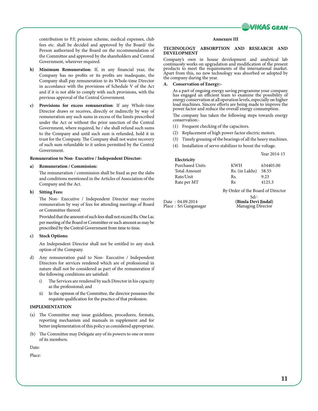

contribution to P.F, pension scheme, medical expenses, club fees etc. shall be decided and approved by the Board/ the Person authorized by the Board on the recommendation of the Committee and approved by the shareholders and Central Government, wherever required.

- **b) Minimum Remuneration**: If, in any financial year, the Company has no profits or its profits are inadequate, the Company shall pay remuneration to its Whole-time Director in accordance with the provisions of Schedule V of the Act and if it is not able to comply with such provisions, with the previous approval of the Central Government.
- **c) Provisions for excess remuneration**: If any Whole-time Director draws or receives, directly or indirectly by way of remuneration any such sums in excess of the limits prescribed under the Act or without the prior sanction of the Central Government, where required, he / she shall refund such sums to the Company and until such sum is refunded, hold it in trust for the Company. The Company shall not waive recovery of such sum refundable to it unless permitted by the Central Government.

#### **Remuneration to Non- Executive / Independent Director:**

#### **a) Remuneration / Commission:**

The remuneration / commission shall be fixed as per the slabs and conditions mentioned in the Articles of Association of the Company and the Act.

#### **b) Sitting Fees:**

The Non- Executive / Independent Director may receive remuneration by way of fees for attending meetings of Board or Committee thereof.

Provided that the amount of such fees shall not exceed Rs. One Lac per meeting of the Board or Committee or such amount as may be prescribed by the Central Government from time to time.

### **c) Stock Options:**

An Independent Director shall not be entitled to any stock option of the Company.

- d) Any remuneration paid to Non- Executive / Independent Directors for services rendered which are of professional in nature shall not be considered as part of the remuneration if the following conditions are satisfied:
	- i) The Services are rendered by such Director in his capacity as the professional; and
	- ii) In the opinion of the Committee, the director possesses the requisite qualification for the practice of that profession.

#### **IMPLEMENTATION**

- (a) The Committee may issue guidelines, procedures, formats, reporting mechanism and manuals in supplement and for better implementation of this policy as considered appropriate.
- (b) The Committee may Delegate any of its powers to one or more of its members.

Date:

Place:

#### **Annexure III**

#### **TECHNOLOGY ABSORPTION AND RESEARCH AND DEVELOPMENT**

Company's own in house development and analytical lab continuosly works on upgradation and modification of the present products to meet the requirements of the international market. Apart from this, no new technology was absorbed or adopted by the company during the year.

**A. Conservation of Energy:-**

As a part of ongoing energy saving programme your company has engaged an efficient team to examine the possibility of energy conservation at all operation levels, especially on higher load machines. Sincere efforts are being made to improve the power factor and reduce the overall energy consumption.

The company has taken the following steps towards energy conservation:-

- (1) Frequent checking of the capacitors.
- (2) Replacement of high power factor electric motors.
- (3) Timely greasing of the bearings of all the heavy machines.
- (4) Installation of servo stabilizer to boost the voltage.

Year 2014-15 **Electricity** Purchased Units **KWH** 634405.00 Total Amount Rs. (in Lakhs) 58.55 Rate/Unit Rs. 9.23 Rate per MT Rs 4125.3

By Order of the Board of Director

Date : 04.09.2014 **(Bimla Devi Jindal)** Place : Sri Ganganagar

Sd/-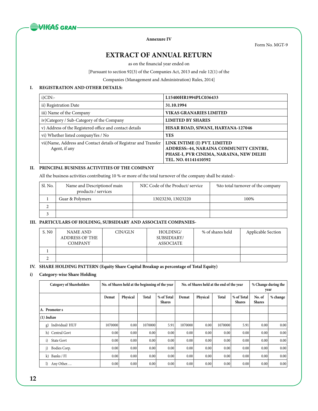

**Annexure IV**

Form No. MGT-9

## **EXTRACT OF ANNUAL RETURN**

as on the financial year ended on

[Pursuant to section 92(3) of the Companies Act, 2013 and rule 12(1) of the

Companies (Management and Administration) Rules, 2014]

## **I. REGISTRATION AND OTHER DETAILS:**

| $i)$ CIN:-                                                                        | L15400HR1994PLC036433                                                                                                                     |
|-----------------------------------------------------------------------------------|-------------------------------------------------------------------------------------------------------------------------------------------|
| ii) Registration Date                                                             | 31.10.1994                                                                                                                                |
| iii) Name of the Company                                                          | <b>VIKAS GRANARIES LIMITED</b>                                                                                                            |
| iv)Category / Sub-Category of the Company                                         | <b>LIMITED BY SHARES</b>                                                                                                                  |
| v) Address of the Registered office and contact details                           | HISAR ROAD, SIWANI, HARYANA-127046                                                                                                        |
| vi) Whether listed companyYes / No                                                | <b>YES</b>                                                                                                                                |
| vii) Name, Address and Contact details of Registrar and Transfer<br>Agent, if any | LINK INTIME (I) PVT. LIMITED<br>ADDRESS:-44, NARAINA COMMUNITY CENTRE,<br>PHASE-I, PVR CINEMA, NARAINA, NEW DELHI<br>TEL. NO. 01141410592 |

## **II. PRINCIPAL BUSINESS ACTIVITIES OF THE COMPANY**

All the business activities contributing 10 % or more of the total turnover of the company shall be stated:-

| Sl. No. | Name and Description of main<br>products / services | NIC Code of the Product/service | % to total turnover of the company |
|---------|-----------------------------------------------------|---------------------------------|------------------------------------|
|         | Guar & Polymers                                     | 13023230, 13023220              | 100%                               |
|         |                                                     |                                 |                                    |
|         |                                                     |                                 |                                    |

## **III. PARTICULARS OF HOLDING, SUBSIDIARY AND ASSOCIATE COMPANIES-**

| S. N <sub>0</sub> | NAME AND<br><b>ADDRESS OF THE</b><br><b>COMPANY</b> | CIN/GLN | HOLDING/<br>SUBSIDIARY/<br>ASSOCIATE | % of shares held | Applicable Section |
|-------------------|-----------------------------------------------------|---------|--------------------------------------|------------------|--------------------|
|                   |                                                     |         |                                      |                  |                    |
|                   |                                                     |         |                                      |                  |                    |

## **IV. SHARE HOLDING PATTERN (Equity Share Capital Breakup as percentage of Total Equity)**

## **i) Category-wise Share Holding**

| <b>Category of Shareholders</b> | No. of Shares held at the beginning of the year |          |         | No. of Shares held at the end of the year |         |          |              | % Change during the<br>vear |                         |          |
|---------------------------------|-------------------------------------------------|----------|---------|-------------------------------------------|---------|----------|--------------|-----------------------------|-------------------------|----------|
|                                 | Demat                                           | Physical | Total   | % of Total<br><b>Shares</b>               | Demat   | Physical | <b>Total</b> | % of Total<br><b>Shares</b> | No. of<br><b>Shares</b> | % change |
| A. Promoter s                   |                                                 |          |         |                                           |         |          |              |                             |                         |          |
| $(1)$ Indian                    |                                                 |          |         |                                           |         |          |              |                             |                         |          |
| Individual/HUF<br>g)            | 1070000                                         | 0.00     | 1070000 | 5.91                                      | 1070000 | 0.00     | 1070000      | 5.91                        | 0.00                    | 0.00     |
| h) Central Govt                 | 0.00                                            | 0.00     | 0.00    | 0.00                                      | 0.00    | 0.00     | 0.00         | 0.00                        | 0.00                    | 0.00     |
| i)<br><b>State Govt</b>         | 0.00                                            | 0.00     | 0.00    | 0.00                                      | 0.00    | 0.00     | 0.00         | 0.00                        | 0.00                    | 0.00     |
| j)<br>Bodies Corp.              | 0.00                                            | 0.00     | 0.00    | 0.00                                      | 0.00    | 0.00     | 0.00         | 0.00                        | 0.00                    | 0.00     |
| k)<br>Banks / FI                | 0.00                                            | 0.00     | 0.00    | 0.00                                      | 0.00    | 0.00     | 0.00         | 0.00                        | 0.00                    | 0.00     |
| Any Other                       | 0.00                                            | 0.00     | 0.00    | 0.00                                      | 0.00    | 0.00     | 0.00         | 0.00                        | 0.00                    | 0.00     |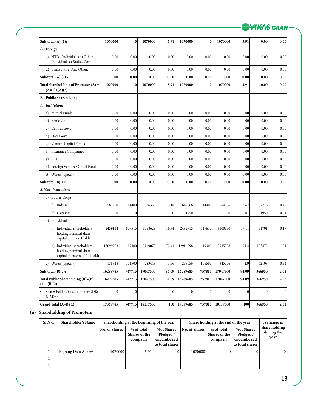| Sub-total $(A)$ $(1)$ :-                                                               | 1070000          | $\bf{0}$         | 1070000          | 5.91            | 1070000          | 0                | 1070000          | 5.91         | 0.00            | 0.00             |
|----------------------------------------------------------------------------------------|------------------|------------------|------------------|-----------------|------------------|------------------|------------------|--------------|-----------------|------------------|
| (2) Foreign                                                                            |                  |                  |                  |                 |                  |                  |                  |              |                 |                  |
| a) NRIs - Individuals b) Other -<br>Individuals c) Bodies Corp.                        | 0.00             | 0.00             | 0.00             | 0.00            | 0.00             | 0.00             | 0.00             | 0.00         | 0.00            | 0.00             |
| d) Banks / FI e) Any Other                                                             | 0.00             | 0.00             | 0.00             | 0.00            | 0.00             | 0.00             | 0.00             | 0.00         | 0.00            | 0.00             |
| Sub-total $(A)$ $(2)$ :-                                                               | 0.00             | 0.00             | 0.00             | 0.00            | 0.00             | 0.00             | 0.00             | 0.00         | 0.00            | 0.00             |
| Total shareholdin g of Promoter $(A)$ =<br>$(A)(1)+(A)(2)$                             | 1070000          | $\bf{0}$         | 1070000          | 5.91            | 1070000          | $\bf{0}$         | 1070000          | 5.91         | 0.00            | 0.00             |
| <b>B.</b> Public Shareholding                                                          |                  |                  |                  |                 |                  |                  |                  |              |                 |                  |
| 1. Institutions                                                                        |                  |                  |                  |                 |                  |                  |                  |              |                 |                  |
| a) Mutual Funds                                                                        | 0.00             | 0.00             | 0.00             | 0.00            | 0.00             | 0.00             | 0.00             | 0.00         | 0.00            | 0.00             |
| Banks / FI<br>b)                                                                       | 0.00             | 0.00             | 0.00             | 0.00            | 0.00             | 0.00             | 0.00             | 0.00         | 0.00            | 0.00             |
| Central Govt<br>c)                                                                     | 0.00             | 0.00             | 0.00             | 0.00            | 0.00             | 0.00             | 0.00             | 0.00         | 0.00            | 0.00             |
| d) State Govt                                                                          | 0.00             | 0.00             | 0.00             | 0.00            | 0.00             | 0.00             | 0.00             | 0.00         | 0.00            | 0.00             |
| e) Venture Capital Funds                                                               | 0.00             | 0.00             | 0.00             | 0.00            | 0.00             | 0.00             | 0.00             | 0.00         | 0.00            | 0.00             |
| <b>Insurance Companies</b><br>f)                                                       | 0.00             | 0.00             | 0.00             | 0.00            | 0.00             | 0.00             | 0.00             | 0.00         | 0.00            | 0.00             |
| FIIs<br>g)                                                                             | 0.00             | 0.00             | 0.00             | 0.00            | 0.00             | 0.00             | 0.00             | 0.00         | 0.00            | 0.00             |
| h) Foreign Venture Capital Funds                                                       | 0.00             | 0.00             | 0.00             | 0.00            | 0.00             | 0.00             | 0.00             | 0.00         | 0.00            | 0.00             |
| i) Others (specify)                                                                    | 0.00             | 0.00             | 0.00             | 0.00            | 0.00             | 0.00             | 0.00             | 0.00         | 0.00            | 0.00             |
| Sub-total $(B)(1)$ :-                                                                  | 0.00             | 0.00             | 0.00             | 0.00            | 0.00             | 0.00             | 0.00             | 0.00         | 0.00            | 0.00             |
| 2. Non-Institutions                                                                    |                  |                  |                  |                 |                  |                  |                  |              |                 |                  |
| a) Bodies Corps                                                                        |                  |                  |                  |                 |                  |                  |                  |              |                 |                  |
| Indian<br>i)                                                                           | 561950           | 14400            | 576350           | 3.18            | 649666           | 14400            | 664066           | 3.67         | 87716           | 0.49             |
| ii) Overseas                                                                           | $\mathbf{0}$     | $\boldsymbol{0}$ | $\mathbf{0}$     | $\mathbf{0}$    | 1950             | $\mathbf{0}$     | 1950             | 0.01         | 1950            | 0.01             |
| Individuals<br>b)                                                                      |                  |                  |                  |                 |                  |                  |                  |              |                 |                  |
| Individual shareholders<br>i)<br>holding nominal share<br>capital upto Rs. 1 lakh      | 2459114          | 609515           | 3068629          | 16.94           | 2482715          | 617615           | 3100330          | 17.11        | 31701           | 0.17             |
| ii) Individual shareholders<br>holding nominal share<br>capital in excess of Rs 1 lakh | 13099773         | 19300            | 13119073         | 72.41           | 12916298         | 19300            | 12935598         | 71.4         | 183475          | 1.01             |
| c) Others (specify)                                                                    | 178948           | 104500           | 283448           | 1.56            | 239056           | 106500           | 345556           | 1.9          | 62108           | 0.34             |
| Sub-total $(B)(2)$ :-                                                                  | 16299785         | 747715           | 17047500         | 94.09           | 16289685         | 757815           | 17047500         | 94.09        | 366950          | 2.02             |
| Total Public Shareholding (B)=(B)<br>$(1)+(B)(2)$                                      | 16299785         | 747715           | 17047500         | 94.09           | 16289685         | 757815           | 17047500         | 94.09        | 366950          | 2.02             |
| C. Shares held by Custodian for GDRs<br>& ADRs                                         | $\boldsymbol{0}$ | $\boldsymbol{0}$ | $\boldsymbol{0}$ | $\vert 0 \vert$ | $\boldsymbol{0}$ | $\boldsymbol{0}$ | $\boldsymbol{0}$ | $\mathbf{0}$ | $\vert 0 \vert$ | $\boldsymbol{0}$ |
| Grand Total (A+B+C)                                                                    | 17369785         | 747715           | 18117500         | 100             | 17359685         | 757815           | 18117500         | 100          | 366950          | 2.02             |

## **(ii) Shareholding of Promoters**

| $SIN$ o. | <b>Shareholder's Name</b> |                      | Shareholding at the beginning of the year |                                                           | Share holding at the end of the year |                                         |                                                           | % change in                         |
|----------|---------------------------|----------------------|-------------------------------------------|-----------------------------------------------------------|--------------------------------------|-----------------------------------------|-----------------------------------------------------------|-------------------------------------|
|          |                           | <b>No. of Shares</b> | % of total<br>Shares of the<br>compa ny   | %of Shares<br>Pledged /<br>encumbe red<br>to total shares | No. of Shares                        | % of total<br>Shares of the<br>compa ny | %of Shares<br>Pledged /<br>encumbe red<br>to total shares | share holding<br>during the<br>year |
|          | Bajrang Dass Agarwal      | 1070000              | 5.91                                      | U.                                                        | 1070000                              |                                         | 0                                                         | $\mathbf{0}$                        |
|          |                           |                      |                                           |                                                           |                                      |                                         |                                                           |                                     |
|          |                           |                      |                                           |                                                           |                                      |                                         |                                                           |                                     |

**WIGAS GRAN-**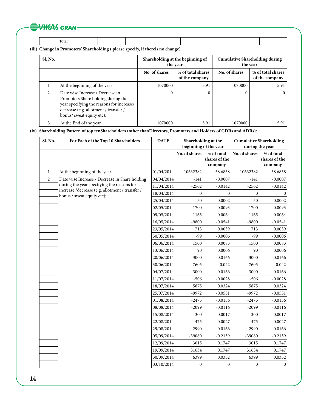## **WIKAS GRAN**

Total

**(iii) Change in Promoters' Shareholding ( please specify, if thereis no change)**

| <b>Sl. No.</b> |                                                                                                                                                                                           | Shareholding at the beginning of<br>the year         |      | <b>Cumulative Shareholding during</b><br>the year |                                     |
|----------------|-------------------------------------------------------------------------------------------------------------------------------------------------------------------------------------------|------------------------------------------------------|------|---------------------------------------------------|-------------------------------------|
|                |                                                                                                                                                                                           | No. of shares<br>% of total shares<br>of the company |      | No. of shares                                     | % of total shares<br>of the company |
|                | At the beginning of the year                                                                                                                                                              | 1070000                                              | 5.91 | 1070000                                           | 5.91                                |
| $\mathfrak{D}$ | Date wise Increase / Decrease in<br>Promoters Share holding during the<br>year specifying the reasons for increase/<br>decrease (e.g. allotment / transfer /<br>bonus/ sweat equity etc): | $\Omega$                                             | 0    | 0                                                 | 0                                   |
|                | At the End of the year                                                                                                                                                                    | 1070000                                              | 5.91 | 1070000                                           | 5.91                                |

**(iv) Shareholding Pattern of top tenShareholders (other thanDirectors, Promoters and Holders of GDRs and ADRs):**

| Sl. No.        | For Each of the Top 10 Shareholders                                           | <b>DATE</b> | Shareholding at the<br>beginning of the year |                                        | <b>Cumulative Shareholding</b><br>during the year |                                        |
|----------------|-------------------------------------------------------------------------------|-------------|----------------------------------------------|----------------------------------------|---------------------------------------------------|----------------------------------------|
|                |                                                                               |             | No. of shares                                | % of total<br>shares of the<br>company | No. of shares                                     | % of total<br>shares of the<br>company |
| $\mathbf{1}$   | At the beginning of the year                                                  | 01/04/2014  | 10632382                                     | 58.6858                                | 10632382                                          | 58.6858                                |
| $\overline{c}$ | Date wise Increase / Decrease in Share holding                                | 04/04/2014  | $-141$                                       | $-0.0007$                              | $-141$                                            | $-0.0007$                              |
|                | during the year specifying the reasons for                                    | 11/04/2014  | $-2562$                                      | $-0.0142$                              | $-2562$                                           | $-0.0142$                              |
|                | increase /decrease (e.g. allotment / transfer /<br>bonus / sweat equity etc): | 18/04/2014  | $\boldsymbol{0}$                             | $\mathbf{0}$                           | $\boldsymbol{0}$                                  | $\Omega$                               |
|                |                                                                               | 25/04/2014  | 50                                           | 0.0002                                 | 50                                                | 0.0002                                 |
|                |                                                                               | 02/05/2014  | $-1700$                                      | $-0.0093$                              | $-1700$                                           | $-0.0093$                              |
|                |                                                                               | 09/05/2014  | $-1165$                                      | $-0.0064$                              | $-1165$                                           | $-0.0064$                              |
|                |                                                                               | 16/05/2014  | $-9800$                                      | $-0.0541$                              | $-9800$                                           | $-0.0541$                              |
|                |                                                                               | 23/05/2014  | 713                                          | 0.0039                                 | 713                                               | 0.0039                                 |
|                |                                                                               | 30/05/2014  | $-99$                                        | $-0.0006$                              | -99                                               | $-0.0006$                              |
|                |                                                                               | 06/06/2014  | 1500                                         | 0.0083                                 | 1500                                              | 0.0083                                 |
|                |                                                                               | 13/06/2014  | 90                                           | 0.0006                                 | 90                                                | 0.0006                                 |
|                |                                                                               | 20/06/2014  | $-3000$                                      | $-0.0166$                              | $-3000$                                           | $-0.0166$                              |
|                |                                                                               | 30/06/2014  | $-7605$                                      | $-0.042$                               | $-7605$                                           | $-0.042$                               |
|                |                                                                               | 04/07/2014  | 3000                                         | 0.0166                                 | 3000                                              | 0.0166                                 |
|                |                                                                               | 11/07/2014  | $-506$                                       | $-0.0028$                              | $-506$                                            | $-0.0028$                              |
|                |                                                                               | 18/07/2014  | 5875                                         | 0.0324                                 | 5875                                              | 0.0324                                 |
|                |                                                                               | 25/07/2014  | $-9972$                                      | $-0.0551$                              | $-9972$                                           | $-0.0551$                              |
|                |                                                                               | 01/08/2014  | $-2475$                                      | $-0.0136$                              | $-2475$                                           | $-0.0136$                              |
|                |                                                                               | 08/08/2014  | $-2099$                                      | $-0.0116$                              | $-2099$                                           | $-0.0116$                              |
|                |                                                                               | 15/08/2014  | 300                                          | 0.0017                                 | 300                                               | 0.0017                                 |
|                |                                                                               | 22/08/2014  | $-475$                                       | $-0.0027$                              | $-475$                                            | $-0.0027$                              |
|                |                                                                               | 29/08/2014  | 2990                                         | 0.0166                                 | 2990                                              | 0.0166                                 |
|                |                                                                               | 05/09/2014  | -39080                                       | $-0.2159$                              | -39080                                            | $-0.2159$                              |
|                |                                                                               | 12/09/2014  | 3015                                         | 0.1747                                 | 3015                                              | 0.1747                                 |
|                |                                                                               | 19/09/2014  | 31634                                        | 0.1747                                 | 31634                                             | 0.1747                                 |
|                |                                                                               | 30/09/2014  | 6399                                         | 0.0352                                 | 6399                                              | 0.0352                                 |
|                |                                                                               | 03/10/2014  | $\mathbf{0}$                                 | $\Omega$                               | $\mathbf{0}$                                      | $\mathbf{0}$                           |

**14**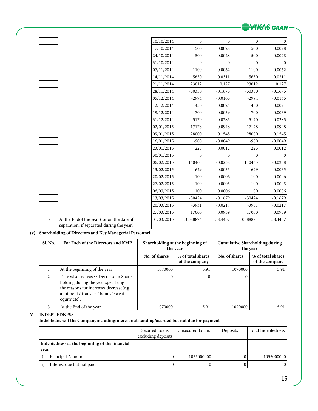

|   |                                                                                       | 10/10/2014 | $\mathbf{0}$ | $\Omega$  | $\mathbf{0}$ | $\Omega$  |
|---|---------------------------------------------------------------------------------------|------------|--------------|-----------|--------------|-----------|
|   |                                                                                       |            |              |           |              |           |
|   |                                                                                       | 17/10/2014 | 500          | 0.0028    | 500          | 0.0028    |
|   |                                                                                       | 24/10/2014 | $-500$       | $-0.0028$ | $-500$       | $-0.0028$ |
|   |                                                                                       | 31/10/2014 | $\mathbf{0}$ | $\Omega$  | $\mathbf{0}$ | $\Omega$  |
|   |                                                                                       | 07/11/2014 | 1100         | 0.0062    | 1100         | 0.0062    |
|   |                                                                                       | 14/11/2014 | 5650         | 0.0311    | 5650         | 0.0311    |
|   |                                                                                       | 21/11/2014 | 23012        | 0.127     | 23012        | 0.127     |
|   |                                                                                       | 28/11/2014 | $-30350$     | $-0.1675$ | $-30350$     | $-0.1675$ |
|   |                                                                                       | 05/12/2014 | $-2994$      | $-0.0165$ | $-2994$      | $-0.0165$ |
|   |                                                                                       | 12/12/2014 | 450          | 0.0024    | 450          | 0.0024    |
|   |                                                                                       | 19/12/2014 | 700          | 0.0039    | 700          | 0.0039    |
|   |                                                                                       | 31/12/2014 | $-5170$      | $-0.0285$ | $-5170$      | $-0.0285$ |
|   |                                                                                       | 02/01/2015 | $-17178$     | $-0.0948$ | $-17178$     | $-0.0948$ |
|   |                                                                                       | 09/01/2015 | 28000        | 0.1545    | 28000        | 0.1545    |
|   |                                                                                       | 16/01/2015 | $-900$       | $-0.0049$ | $-900$       | $-0.0049$ |
|   |                                                                                       | 23/01/2015 | 225          | 0.0012    | 225          | 0.0012    |
|   |                                                                                       | 30/01/2015 | $\mathbf{0}$ | $\Omega$  | $\mathbf{0}$ | $\Omega$  |
|   |                                                                                       | 06/02/2015 | 140463       | $-0.0238$ | 140463       | $-0.0238$ |
|   |                                                                                       | 13/02/2015 | 629          | 0.0035    | 629          | 0.0035    |
|   |                                                                                       | 20/02/2015 | $-100$       | $-0.0006$ | $-100$       | $-0.0006$ |
|   |                                                                                       | 27/02/2015 | 100          | 0.0005    | 100          | 0.0005    |
|   |                                                                                       | 06/03/2015 | 100          | 0.0006    | 100          | 0.0006    |
|   |                                                                                       | 13/03/2015 | $-30424$     | $-0.1679$ | $-30424$     | $-0.1679$ |
|   |                                                                                       | 20/03/2015 | $-3931$      | $-0.0217$ | $-3931$      | $-0.0217$ |
|   |                                                                                       | 27/03/2015 | 17000        | 0.0939    | 17000        | 0.0939    |
| 3 | At the Endof the year (or on the date of<br>separation, if separated during the year) | 31/03/2015 | 10588874     | 58.4457   | 10588874     | 58.4457   |

## **(v) Shareholding of Directors and Key Managerial Personnel:**

| Sl. No. | For Each of the Directors and KMP                                                                                                                                              | Shareholding at the beginning of<br>the year |                                     | <b>Cumulative Shareholding during</b><br>the year |                                     |
|---------|--------------------------------------------------------------------------------------------------------------------------------------------------------------------------------|----------------------------------------------|-------------------------------------|---------------------------------------------------|-------------------------------------|
|         |                                                                                                                                                                                | No. of shares                                | % of total shares<br>of the company | No. of shares                                     | % of total shares<br>of the company |
|         | At the beginning of the year                                                                                                                                                   | 1070000                                      | 5.91                                | 1070000                                           | 5.91                                |
| 2       | Date wise Increase / Decrease in Share<br>holding during the year specifying<br>the reasons for increase/ decrease(e.g.<br>allotment / transfer / bonus/ sweat<br>equity etc): |                                              | 0                                   |                                                   |                                     |
| 3       | At the End of the year                                                                                                                                                         | 1070000                                      | 5.91                                | 1070000                                           | 5.91                                |

**V. INDEBTEDNESS**

**Indebtednessof the Companyincludinginterest outstanding/accrued but not due for payment**

|      |                                                | Secured Loans<br>excluding deposits | Unsecured Loans | Deposits | Total Indebtedness |
|------|------------------------------------------------|-------------------------------------|-----------------|----------|--------------------|
| year | Indebtedness at the beginning of the financial |                                     |                 |          |                    |
|      | Principal Amount                               | 0                                   | 1055000000      |          | 1055000000         |
| ii)  | Interest due but not paid                      |                                     |                 | $\alpha$ |                    |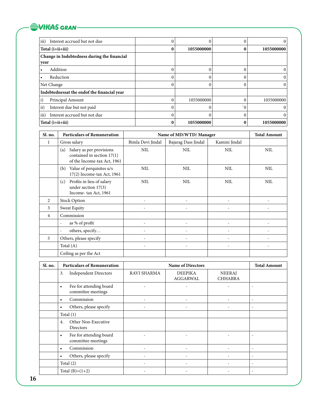## WHEAS GRAN-

| $\vert$ iii)<br>Interest accrued but not due        |            |              |            |
|-----------------------------------------------------|------------|--------------|------------|
| Total $(i+ii+iii)$                                  | 1055000000 | 0            | 1055000000 |
| Change in Indebtedness during the financial<br>vear |            |              |            |
| Addition<br>$\bullet$                               |            | 0            | $\theta$   |
| Reduction<br>$\bullet$                              |            |              | 0          |
| Net Change                                          |            |              | 0          |
| Indebtednessat the endof the financial year         |            |              |            |
| $\vert i)$<br>Principal Amount                      | 1055000000 |              | 1055000000 |
| $\vert$ ii)<br>Interest due but not paid            |            | $^{\circ}$ 0 |            |
| Interest accrued but not due<br>$\vert$ iii)        |            |              |            |
| Total (i+ii+iii)                                    | 1055000000 | $\mathbf{0}$ | 1055000000 |

| Sl. no. | <b>Particulars of Remuneration</b>                                                             |                   | Name of MD/WTD/Manager |               | <b>Total Amount</b> |
|---------|------------------------------------------------------------------------------------------------|-------------------|------------------------|---------------|---------------------|
| 1       | Gross salary                                                                                   | Bimla Devi Jindal | Bajarag Dass Jindal    | Kamini Jindal |                     |
|         | Salary as per provisions<br>(a)<br>contained in section $17(1)$<br>of the Income-tax Act, 1961 | <b>NIL</b>        | <b>NIL</b>             | <b>NIL</b>    | <b>NIL</b>          |
|         | (b)<br>Value of perquisites u/s<br>17(2) Income-tax Act, 1961                                  | <b>NIL</b>        | <b>NIL</b>             | <b>NIL</b>    | <b>NIL</b>          |
|         | Profits in lieu of salary<br>(c)<br>under section 17(3)<br>Income-tax Act, 1961                | <b>NIL</b>        | <b>NIL</b>             | <b>NIL</b>    | <b>NIL</b>          |
| 2       | <b>Stock Option</b>                                                                            |                   |                        |               |                     |
| 3       | Sweat Equity                                                                                   |                   |                        |               |                     |
| 4       | Commission                                                                                     |                   |                        |               |                     |
|         | as % of profit<br>$\overline{\phantom{a}}$                                                     |                   |                        |               |                     |
|         | others, specify<br>$\overline{\phantom{a}}$                                                    |                   |                        |               |                     |
| 5       | Others, please specify                                                                         |                   |                        |               |                     |
|         | Total (A)                                                                                      |                   |                        |               |                     |
|         | Ceiling as per the Act                                                                         |                   |                        |               |                     |

| Sl. no. | <b>Particulars of Remuneration</b>                         |                          | <b>Name of Directors</b>   |                                 |                          |  |  |
|---------|------------------------------------------------------------|--------------------------|----------------------------|---------------------------------|--------------------------|--|--|
|         | <b>Independent Directors</b><br>3.                         | RAVI SHARMA              | <b>DEEPIKA</b><br>AGGARWAL | <b>NEERAJ</b><br><b>CHHABRA</b> |                          |  |  |
|         | Fee for attending board<br>$\bullet$<br>committee meetings |                          |                            |                                 | $\overline{\phantom{a}}$ |  |  |
|         | Commission<br>$\bullet$                                    | $\overline{\phantom{0}}$ | -                          | $\overline{\phantom{0}}$        | $\overline{\phantom{a}}$ |  |  |
|         | Others, please specify<br>$\bullet$                        | $\overline{\phantom{a}}$ | -                          |                                 | $\overline{\phantom{a}}$ |  |  |
|         | Total $(1)$                                                |                          |                            |                                 |                          |  |  |
|         | Other Non-Executive<br>4.<br>Directors                     |                          |                            |                                 |                          |  |  |
|         | Fee for attending board<br>$\bullet$<br>committee meetings |                          |                            |                                 |                          |  |  |
|         | Commission<br>$\bullet$                                    | $\overline{\phantom{a}}$ | -                          | $\qquad \qquad \blacksquare$    | $\overline{\phantom{a}}$ |  |  |
|         | Others, please specify<br>$\bullet$                        | $\overline{\phantom{a}}$ | ۰                          |                                 | $\overline{\phantom{a}}$ |  |  |
|         | Total $(2)$                                                | $\overline{\phantom{a}}$ | -                          | $\qquad \qquad \blacksquare$    | $\overline{\phantom{a}}$ |  |  |
|         | Total $(B)=(1+2)$                                          |                          |                            |                                 | $\overline{\phantom{a}}$ |  |  |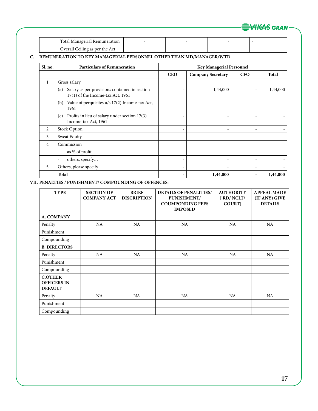

| Total Managerial Remuneration  |  |  |
|--------------------------------|--|--|
| Overall Ceiling as per the Act |  |  |

## **C. REMUNERATION TO KEY MANAGERIAL PERSONNEL OTHER THAN MD/MANAGER/WTD**

| Sl. no.        | <b>Particulars of Remuneration</b>                                                          | <b>Key Managerial Personnel</b> |                          |                          |              |  |
|----------------|---------------------------------------------------------------------------------------------|---------------------------------|--------------------------|--------------------------|--------------|--|
|                |                                                                                             | <b>CEO</b>                      | <b>Company Secretary</b> | <b>CFO</b>               | <b>Total</b> |  |
| $\mathbf{1}$   | Gross salary                                                                                |                                 |                          |                          |              |  |
|                | Salary as per provisions contained in section<br>(a)<br>$17(1)$ of the Income-tax Act, 1961 |                                 | 1,44,000                 |                          | 1,44,000     |  |
|                | Value of perquisites u/s 17(2) Income-tax Act,<br>(b)<br>1961                               |                                 |                          |                          |              |  |
|                | Profits in lieu of salary under section 17(3)<br>(c)<br>Income-tax Act, 1961                |                                 |                          |                          |              |  |
| 2              | <b>Stock Option</b>                                                                         | $\overline{\phantom{0}}$        |                          | $\overline{\phantom{0}}$ |              |  |
| 3              | Sweat Equity                                                                                | $\overline{\phantom{0}}$        |                          | $\overline{\phantom{0}}$ |              |  |
| $\overline{4}$ | Commission                                                                                  |                                 |                          |                          |              |  |
|                | as % of profit<br>$\overline{\phantom{a}}$                                                  | $\qquad \qquad -$               |                          | $\overline{\phantom{0}}$ |              |  |
|                | others, specify                                                                             |                                 |                          |                          |              |  |
| 5              | Others, please specify                                                                      | $\overline{\phantom{0}}$        |                          | $\overline{\phantom{a}}$ |              |  |
|                | <b>Total</b>                                                                                |                                 | 1,44,000                 |                          | 1,44,000     |  |

## **VII. PENALTIES / PUNISHMENT/ COMPOUNDING OF OFFENCES:**

| <b>TYPE</b>                                            | <b>SECTION OF</b><br><b>COMPANY ACT</b> | <b>BRIEF</b><br><b>DISCRIPTION</b> | <b>DETAILS OF PENALITIES/</b><br>PUNISHMENT/<br><b>COUMPONDING FEES</b><br><b>IMPOSED</b> | <b>AUTHORITY</b><br>[ RD/ NCLT/<br><b>COURT</b> | <b>APPEAL MADE</b><br>(IF ANY) GIVE<br><b>DETAILS</b> |
|--------------------------------------------------------|-----------------------------------------|------------------------------------|-------------------------------------------------------------------------------------------|-------------------------------------------------|-------------------------------------------------------|
| A. COMPANY                                             |                                         |                                    |                                                                                           |                                                 |                                                       |
| Penalty                                                | NA                                      | NA                                 | NA.                                                                                       | <b>NA</b>                                       | NA.                                                   |
| Punishment                                             |                                         |                                    |                                                                                           |                                                 |                                                       |
| Compounding                                            |                                         |                                    |                                                                                           |                                                 |                                                       |
| <b>B. DIRECTORS</b>                                    |                                         |                                    |                                                                                           |                                                 |                                                       |
| Penalty                                                | NA                                      | NA                                 | NA                                                                                        | NA                                              | NA                                                    |
| Punishment                                             |                                         |                                    |                                                                                           |                                                 |                                                       |
| Compounding                                            |                                         |                                    |                                                                                           |                                                 |                                                       |
| <b>C.OTHER</b><br><b>OFFICERS IN</b><br><b>DEFAULT</b> |                                         |                                    |                                                                                           |                                                 |                                                       |
| Penalty                                                | NA                                      | NA                                 | NA.                                                                                       | <b>NA</b>                                       | NA                                                    |
| Punishment                                             |                                         |                                    |                                                                                           |                                                 |                                                       |
| Compounding                                            |                                         |                                    |                                                                                           |                                                 |                                                       |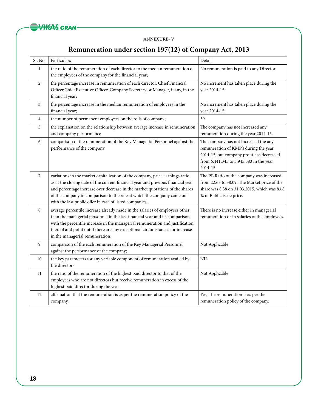

## ANNEXURE- V

## **Remuneration under section 197(12) of Company Act, 2013**

| Sr. No.        | Particulars                                                                                                                                                                                                                                                                                                                                                                           | Detail                                                                                                                                                                            |
|----------------|---------------------------------------------------------------------------------------------------------------------------------------------------------------------------------------------------------------------------------------------------------------------------------------------------------------------------------------------------------------------------------------|-----------------------------------------------------------------------------------------------------------------------------------------------------------------------------------|
| $\mathbf{1}$   | the ratio of the remuneration of each director to the median remuneration of<br>the employees of the company for the financial year;                                                                                                                                                                                                                                                  | No remuneration is paid to any Director.                                                                                                                                          |
| 2              | the percentage increase in remuneration of each director, Chief Financial<br>Officer, Chief Executive Officer, Company Secretary or Manager, if any, in the<br>financial year;                                                                                                                                                                                                        | No increment has taken place during the<br>year 2014-15.                                                                                                                          |
| 3              | the percentage increase in the median remuneration of employees in the<br>financial year;                                                                                                                                                                                                                                                                                             | No increment has taken place during the<br>year 2014-15.                                                                                                                          |
| $\overline{4}$ | the number of permanent employees on the rolls of company;                                                                                                                                                                                                                                                                                                                            | 39                                                                                                                                                                                |
| 5              | the explanation on the relationship between average increase in remuneration<br>and company performance                                                                                                                                                                                                                                                                               | The company has not increased any<br>remuneration during the year 2014-15.                                                                                                        |
| 6              | comparison of the remuneration of the Key Managerial Personnel against the<br>performance of the company                                                                                                                                                                                                                                                                              | The company has not increased the any<br>remuneration of KMP's during the year<br>2014-15, but company profit has decreased<br>from 6,441,345 to 3,945,583 in the year<br>2014-15 |
| $\overline{7}$ | variations in the market capitalization of the company, price earnings ratio<br>as at the closing date of the current financial year and previous financial year<br>and percentage increase over decrease in the market quotations of the shares<br>of the company in comparison to the rate at which the company came out<br>with the last public offer in case of listed companies. | The PE Ratio of the company was increased<br>from 22.63 to 38.09. The Market price of the<br>share was 8.38 on 31.03.2015, which was 83.8<br>% of Public issue price.             |
| 8              | average percentile increase already made in the salaries of employees other<br>than the managerial personnel in the last financial year and its comparison<br>with the percentile increase in the managerial remuneration and justification<br>thereof and point out if there are any exceptional circumstances for increase<br>in the managerial remuneration;                       | There is no increase either in managerial<br>remuneration or in salaries of the employees.                                                                                        |
| 9              | comparison of the each remuneration of the Key Managerial Personnel<br>against the performance of the company;                                                                                                                                                                                                                                                                        | Not Applicable                                                                                                                                                                    |
| 10             | the key parameters for any variable component of remuneration availed by<br>the directors                                                                                                                                                                                                                                                                                             | $\text{NIL}$                                                                                                                                                                      |
| 11             | the ratio of the remuneration of the highest paid director to that of the<br>employees who are not directors but receive remuneration in excess of the<br>highest paid director during the year                                                                                                                                                                                       | Not Applicable                                                                                                                                                                    |
| 12             | affirmation that the remuneration is as per the remuneration policy of the<br>company.                                                                                                                                                                                                                                                                                                | Yes, The remuneration is as per the<br>remuneration policy of the company.                                                                                                        |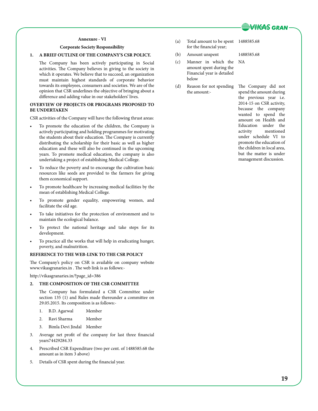

## **Annexure - VI**

## **Corporate Society Responsibility**

## **1. A BRIEF OUTLINE OF THE COMPANY'S CSR POLICY.**

The Company has been actively participating in Social activities. The Company believes in giving to the society in which it operates. We believe that to succeed, an organization must maintain highest standards of corporate behavior towards its employees, consumers and societies. We are of the opinion that CSR underlines the objective of bringing about a difference and adding value in our stakeholders' lives.

## **OVERVIEW OF PROJECTS OR PROGRAMS PROPOSED TO BE UNDERTAKEN**

CSR activities of the Company will have the following thrust areas:

- To promote the education of the children, the Company is actively participating and holding programmes for motivating the students about their education. The Company is currently distributing the scholarship for their basic as well as higher education and these will also be continued in the upcoming years. To promote medical education, the company is also undertaking a project of establishing Medical College.
- To reduce the poverty and to encourage the cultivation basic resources like seeds are provided to the farmers for giving them economical support.
- To promote healthcare by increasing medical facilities by the mean of establishing Medical College.
- To promote gender equality, empowering women, and facilitate the old age.
- To take initiatives for the protection of environment and to maintain the ecological balance.
- To protect the national heritage and take steps for its development.
- To practice all the works that will help in eradicating hunger, poverty, and malnutrition.

## **REFERENCE TO THE WEB-LINK TO THE CSR POLICY**

The Company's policy on CSR is available on company website www.vikasgranaries.in . The web link is as follows:-

http://vikasgranaries.in/?page\_id=386

## **2. THE COMPOSITION OF THE CSR COMMITTEE**

The Company has formulated a CSR Committee under section 135 (1) and Rules made thereunder a committee on 29.05.2015. Its composition is as follows:-

- 1. B.D. Agarwal Member
- 2. Ravi Sharma Member
- 3. Bimla Devi Jindal Member
- 3. Average net profit of the company for last three financial years74429284.33
- 4. Prescribed CSR Expenditure (two per cent. of 1488585.68 the amount as in item 3 above)
- 5. Details of CSR spent during the financial year.

(a) Total amount to be spent 1488585.68 for the financial year;

NA

- (b) Amount unspent 1488585.68
- (c) Manner in which the amount spent during the Financial year is detailed below
- (d) Reason for not spending the amount:-

The Company did not spend the amount during the previous year i.e. 2014-15 on CSR activity, because the company wanted to spend the amount on Health and Education under the activity mentioned under schedule VI to promote the education of the children in local area, but the matter is under management discussion.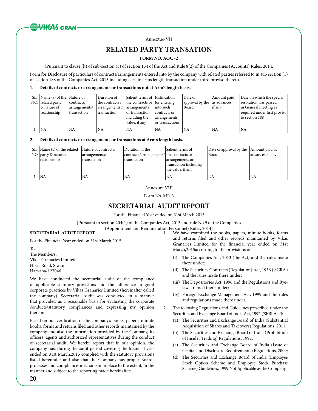

Annextue-VII

## **Related party transation**

## **FORM NO. AOC -2**

(Pursuant to clause (h) of sub-section (3) of section 134 of the Act and Rule 8(2) of the Companies (Accounts) Rules, 2014.

Form for Disclosure of particulars of contracts/arrangements entered into by the company with related parties referred to in sub section (1) of section 188 of the Companies Act, 2013 including certain arms length transaction under third proviso thereto.

### **1. Details of contracts or arrangements or transactions not at Arm's length basis.**

|  | SL. Name (s) of the Nature of<br>NO. related party<br>8x nature of<br>relationship | contracts/<br>arrangements/<br>transaction | Duration of<br>the contracts /<br>arrangements /<br>transaction | Salient terms of   Justification<br>the contracts or for entering<br>arrangements<br>or transaction<br>including the<br>value, if any | into such<br>contracts or<br>arrangements<br>or transactions' | Date of<br>approval by the $ $ as advances,<br>Board | Amount paid<br>if any | Date on which the special<br>resolution was passed<br>in General meeting as<br>required under first proviso<br>to section 188 |
|--|------------------------------------------------------------------------------------|--------------------------------------------|-----------------------------------------------------------------|---------------------------------------------------------------------------------------------------------------------------------------|---------------------------------------------------------------|------------------------------------------------------|-----------------------|-------------------------------------------------------------------------------------------------------------------------------|
|  | <b>NA</b>                                                                          | NA                                         | <b>NA</b>                                                       | <b>NA</b>                                                                                                                             | <b>NA</b>                                                     | NA                                                   | <b>NA</b>             | <b>NA</b>                                                                                                                     |

### **2. Details of contracts or arrangements or transactions at Arm's length basis.**

| SL. Name (s) of the related<br>NO $\vert$ party & nature of<br>relationship | Nature of contracts/<br>arrangements/<br>Itransaction | Duration of the<br>contracts/arrangements/ the contracts or<br><i>transaction</i> | Salient terms of<br>arrangements or<br>transaction including<br>the value, if any | Date of approval by the Amount paid as<br> Board | advances, if any |
|-----------------------------------------------------------------------------|-------------------------------------------------------|-----------------------------------------------------------------------------------|-----------------------------------------------------------------------------------|--------------------------------------------------|------------------|
| İNA                                                                         | <b>NA</b>                                             | 'NA                                                                               | NA                                                                                | NA                                               | <b>NA</b>        |

Annexure VIII

Form No. MR-3

## **SECRETARIAL AUDIT REPORT**

For the Financial Year ended on 31st March,2015

[Pursuant to section 204(1) of the Companies Act, 2013 and rule No.9 of the Companies

(Appointment and Remuneration Personnel) Rules, 2014]

## **SECRETARIAL AUDIT REPORT**

For the Financial Year ended on 31st March,2015

To, The Members, Vikas Granaries Limited Hisar Road, Siwani, Haryana-127046

We have conducted the secretarial audit of the compliance of applicable statutory provisions and the adherence to good corporate practices by Vikas Granaries Limited (hereinafter called the company). Secretarial Audit was conducted in a manner that provided us a reasonable basis for evaluating the corporate conducts/statutory compliances and expressing my opinion thereon.

Based on our verification of the company's books, papers, minute books, forms and returns filed and other records maintained by the company and also the information provided by the Company, its officers, agents and authorized representatives during the conduct of secretarial audit, We hereby report that in our opinion, the company has, during the audit period covering the financial year ended on 31st March,2015 complied with the statutory provisions listed hereunder and also that the Company has proper Boardprocesses and compliance-mechanism in place to the extent, in the manner and subject to the reporting made hereinafter:

We have examined the books, papers, minute books, forms and returns filed and other records maintained by Vikas Granaries Limited for the financial year ended on 31st March,2015according to the provisions of:

- (i) The Companies Act, 2013 (the Act) and the rules made there under;
- (ii) The Securities Contracts (Regulation) Act, 1956 ('SCRA') and the rules made there under;
- (iii) The Depositories Act, 1996 and the Regulations and Byelaws framed there under;
- (iv) Foreign Exchange Management Act, 1999 and the rules and regulations made there under.
- 2. The following Regulations and Guidelines prescribed under the Securities and Exchange Board of India Act, 1992 ('SEBI Act'):-
	- (a) The Securities and Exchange Board of India (Substantial Acquisition of Shares and Takeovers) Regulations, 2011;
	- (b) The Securities and Exchange Board of India (Prohibition of Insider Trading) Regulations, 1992;
	- (c) The Securities and Exchange Board of India (Issue of Capital and Disclosure Requirements) Regulations, 2009;
	- (d) The Securities and Exchange Board of India (Employee Stock Option Scheme and Employee Stock Purchase Scheme) Guidelines, 1999.Not Applicable as the Company.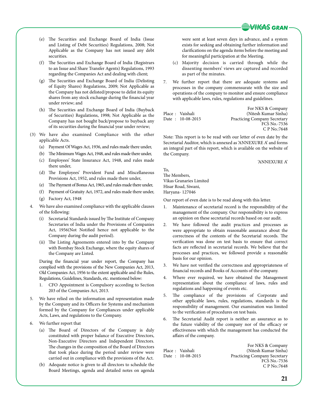

- (e) The Securities and Exchange Board of India (Issue and Listing of Debt Securities) Regulations, 2008; Not Applicable as the Company has not issued any debt securities.
- (f) The Securities and Exchange Board of India (Registrars to an Issue and Share Transfer Agents) Regulations, 1993 regarding the Companies Act and dealing with client;
- (g) The Securities and Exchange Board of India (Delisting of Equity Shares) Regulations, 2009; Not Applicable as the Company has not delisted/propose to delist its equity shares from any stock exchange during the financial year under review; and
- (h) The Securities and Exchange Board of India (Buyback of Securities) Regulations, 1998; Not Applicable as the Company has not bought back/propose to buyback any of its securities during the financial year under review;
- (3) We have also examined Compliance with the other applicable Acts.
	- (a) Payment Of Wages Act, 1936, and rules made there under,
	- (b) The Minimum Wages Act, 1948, and rules made there under,
	- (c) Employees' State Insurance Act, 1948, and rules made there under,
	- (d) The Employees' Provident Fund and Miscellaneous Provisions Act, 1952, and rules made there under,
	- (e) The Payment of Bonus Act, 1965, and rules made there under,
	- (f) Payment of Gratuity Act, 1972, and rules made there under,
	- (g) Factory Act, 1948
- 4. We have also examined compliance with the applicable clauses of the following:
	- (i) Secretarial Standards issued by The Institute of Company Secretaries of India under the Provisions of Companies Act, 1956(Not Notified hence not applicable to the Company during the audit period).
	- (ii) The Listing Agreements entered into by the Company with Bombay Stock Exchange, where the equity shares of the Company are Listed.

During the financial year under report, the Company has complied with the provisions of the New Companies Act, 2013, Old Companies Act, 1956 to the extent applicable and the Rules, Regulations, Guidelines, Standards, etc. mentioned below:

- 1. CFO Appointment is Compulsory according to Section 203 of the Companies Act, 2013.
- 5. We have relied on the information and representation made by the Company and its Officers for Systems and mechanism formed by the Company for Compliances under applicable Acts, Laws, and regulations to the Company.
- 6. We further report that
	- (a) The Board of Directors of the Company is duly constituted with proper balance of Executive Directors, Non-Executive Directors and Independent Directors. The changes in the composition of the Board of Directors that took place during the period under review were carried out in compliance with the provisions of the Act.
	- (b) Adequate notice is given to all directors to schedule the Board Meetings, agenda and detailed notes on agenda

were sent at least seven days in advance, and a system exists for seeking and obtaining further information and clarifications on the agenda items before the meeting and for meaningful participation at the Meeting.

- (c) Majority decision is carried through while the dissenting members' views are captured and recorded as part of the minutes.
- 7. We further report that there are adequate systems and processes in the company commensurate with the size and operations of the company to monitor and ensure compliance with applicable laws, rules, regulations and guidelines.

| Place : Vaishali | Date: 10-08-2015 | For NKS & Company<br>(Nitesh Kumar Sinha)<br><b>Practicing Company Secretary</b> |
|------------------|------------------|----------------------------------------------------------------------------------|
|                  |                  | FCS No.-7536                                                                     |
|                  |                  | C P No.:7648                                                                     |

Note: This report is to be read with our letter of even date by the Secretarial Auditor, which is annexed as 'ANNEXURE A' and forms an integral part of this report, which is available on the website of the Company.

'ANNEXURE A'

To, The Members, Vikas Granaries Limited Hisar Road, Siwani, Haryana- 127046

Our report of even date is to be read along with this letter.

- 1. Maintenance of secretarial record is the responsibility of the management of the company. Our responsibility is to express an opinion on these secretarial records based on our audit.
- 2. We have followed the audit practices and processes as were appropriate to obtain reasonable assurance about the correctness of the contents of the Secretarial records. The verification was done on test basis to ensure that correct facts are reflected in secretarial records. We believe that the processes and practices, we followed provide a reasonable basis for our opinion.
- 3. We have not verified the correctness and appropriateness of financial records and Books of Accounts of the company.
- 4. Where ever required, we have obtained the Management representation about the compliance of laws, rules and regulations and happening of events etc.
- 5. The compliance of the provisions of Corporate and other applicable laws, rules, regulations, standards is the responsibility of management. Our examination was limited to the verification of procedures on test basis.
- 6. The Secretarial Audit report is neither an assurance as to the future viability of the company nor of the efficacy or effectiveness with which the management has conducted the affairs of the company.

For NKS & Company Place : Vaishali (Nitesh Kumar Sinha)<br>Date : 10-08-2015 Practicing Company Secretary Practicing Company Secretary FCS No.-7536 C P No.:7648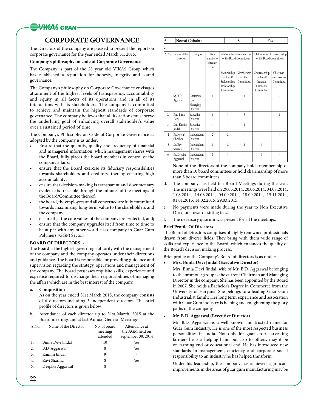

## **CORPORATE GOVERNANCE**

The Directors of the company are pleased to present the report on corporate governance for the year ended March 31, 2015.

## **Company's philosophy on code of Corporate Governance**

The Company is part of the 28 year old VIKAS Group which has established a reputation for honesty, integrity and sound governance.

The Company's philosophy on Corporate Governance envisages attainment of the highest levels of transparency, accountability and equity in all facets of its operations and in all of its interactions with its stakeholders. The company is committed to achieve and maintain the highest standards of corporate governance. The company believes that all its actions must serve the underlying goal of enhancing overall stakeholder's value over a sustained period of time.

The Company's Philosophy on Code of Corporate Governance as adopted by the company is as under:

- Ensure that the quantity, quality and frequency of financial and managerial information, which management shares with the Board, fully places the board members in control of the company affairs;
- ensure that the Board exercise its fiduciary responsibilities towards shareholders and creditors, thereby ensuring high accountability;
- ensure that decision-making is transparent and documentary evidence is traceable through the minutes of the meetings of the Board/Committee thereof;
- the board, the employees and all concerned are fully committed towards maximizing long-term value to the shareholders and the company;
- ensure that the core values of the company are protected, and;
- ensure that the company upgrades itself from time to time to be at par with any other world class company in Guar Gum Polymers (GGP) Sector.

## **BOARD OF DIRECTORS**: -

The Board is the highest governing authority with the management of the company and the company operates under their directions and guidance. The board is responsible for providing guidance and supervision regarding the strategy, operations and management of the company. The board possesses requisite skills, experience and expertise required to discharge their responsibilities of managing the affairs which are in the best interest of the company.

### **a. Composition**

As on the year ended 31st March 2015, the company consists of 6 directors including 3 independent directors. The brief profile of directors is given below.

b. Attendance of each director up to 31st March, 2015 at the Board meetings and at last Annual General Meeting:-

| S.No. | Name of the Director | No. of board<br>meetings | Attendance at<br>the AGM held on |
|-------|----------------------|--------------------------|----------------------------------|
|       |                      | attended                 | September 30, 2014               |
|       | Bimla Devi Jindal    | 10                       | Yes                              |
| 2.    | B.D. Aggarwal        |                          | Yes                              |
| 3.    | Kamini Jindal        |                          |                                  |
| 4.    | Ravi Sharma          |                          | Yes                              |
| 5.    | Deepika Aggarwal     |                          |                                  |

|  | ١ | --------- |  | . |
|--|---|-----------|--|---|
|--|---|-----------|--|---|

 $\overline{\phantom{a}}$ 

| C.             |                              |                                         |                                         |                                                                       |                                      |                                                                                    |                                          |
|----------------|------------------------------|-----------------------------------------|-----------------------------------------|-----------------------------------------------------------------------|--------------------------------------|------------------------------------------------------------------------------------|------------------------------------------|
| S. No.         | Name of the<br>Director      | Category                                | Total<br>number of<br>director-<br>ship |                                                                       | of the Board Committees              | Total number of membership Total number of chairmanship<br>of the Board Committees |                                          |
|                |                              |                                         |                                         | Membership<br>in Audit/<br>Stakeholders<br>Relationship<br>Committees | Membership<br>in other<br>Committees | Chairmanship<br>in Audit/<br>Investor<br>Grievance<br>Committees                   | Chairman-<br>ship in other<br>Committees |
| $\mathbf{1}$   | Sh. B.D.<br>Agarwal          | Chairman<br>cum<br>Managing<br>Director | 6                                       |                                                                       | $\overline{\mathbf{3}}$              |                                                                                    |                                          |
| 2.             | Smt. Bimla<br>Devi           | Executive<br>Director                   | 6                                       | 1                                                                     | 3                                    |                                                                                    | $\mathbf{1}$                             |
| 3.             | Smt. Kamini<br><b>Iindal</b> | Executive<br>Director                   | $\overline{4}$                          | 1                                                                     | $\overline{c}$                       |                                                                                    |                                          |
| $\overline{4}$ | Sh. Neeraj<br>Chhabra        | Independent<br>Director                 | $\overline{c}$                          | $\overline{c}$                                                        |                                      |                                                                                    |                                          |
| 5              | Sh. Ravi<br>Sharma           | Independent<br>Director                 | $\mathbf{1}$                            | $\overline{c}$                                                        | $\overline{c}$                       | 1                                                                                  |                                          |
| 6.             | Sh. Deepika<br>Aggarwal      | Independent<br>Director                 | 1                                       | 1                                                                     |                                      | $\mathbf{1}$                                                                       |                                          |

None of the directors of the company holds membership of more than 10 board committees or hold chairmanship of more than 5 board committees.

- d. The company has held ten Board Meetings during the year. The meetings were held on 29.05.2014, 20.06.2014, 04.07.2014, 1.08.2014, 14.08.2014, 04.09.2014, 18.09.2014, 15.11.2014, 01.01.2015, 14.02.2015, 29.03.2015.
- e. No payments were made during the year to Non Executive Directors towards sitting fees.
- f. The necessary quorum was present for all the meetings.

## **Brief Profile Of Directors**

The Board of Directors comprises of highly renowned professionals drawn from diverse fields. They bring with them wide range of skills and experience to the Board, which enhances the quality of the Board's decision making process.

Brief profile of the Company's Board of directors is as under:

**• Mrs. Bimla Devi Jindal (Executive Director)**

Mrs. Bimla Devi Jindal, wife of Mr. B.D. Aggarwal belonging to the promoter group is the current Chairman and Managing Director in the company. She has been appointed by the Board in 2007. She holds a Bachelor's Degree in Commerce from the University of Haryana. She belongs to a leading Guar Gum Industrialist family. Her long term experience and association with Guar Gum industry is helping and enlightening the glory paths of the company.

### **• Mr. B.D. Aggarwal (Executive Director)**

Mr. B.D. Aggarwal is a well known and trusted name for Guar Gum Industry. He is one of the most respected business personalities in India. Not only for guar crop harvesting farmers he is a helping hand but also to others, may it be on farming end or educational end. He has introduced new standards in management, efficiency and corporate social responsibility to an industry he has helped transform.

Under his leadership, the company has achieved significant improvements in the areas of guar gum manufacturing may be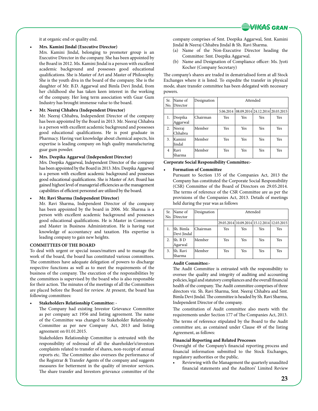![](_page_24_Picture_0.jpeg)

it at organic end or quality end.

#### **• Mrs. Kamini Jindal (Executive Director)**

Mrs. Kamini Jindal, belonging to promoter group is an Executive Director in the company. She has been appointed by the Board in 2012. Ms. Kamini Jindal is a person with excellent academic background and possesses good educational qualifications. She is Master of Art and Master of Philosophy. She is the youth diva in the board of the company. She is the daughter of Mr. B.D. Aggarwal and Bimla Devi Jindal, from her childhood she has taken keen interest in the working of the company. Her long term association with Guar Gum Industry has brought immense value to the board.

#### **• Mr. Neeraj Chhabra (Independent Director)**

Mr. Neeraj Chhabra, Independent Director of the company has been appointed by the Board in 2013. Mr. Neeraj Chhabra is a person with excellent academic background and possesses good educational qualifications. He is post graduate in Pharmacy. Having vast knowledge about chemical aspects, his expertise is leading company on high quality manufacturing guar gum powder.

#### **• Mrs. Deepika Aggarwal (Independent Director)**

Mrs. Deepika Aggarwal, Independent Director of the company has been appointed by the Board in 2013. Mrs. Deepika Aggarwal is a person with excellent academic background and possesses good educational qualifications. She is Master of Art. Board has gained highest level of managerial efficiencies as the management capabilities of efficient personnel are utilized by the board.

**• Mr. Ravi Sharma (Independent Director)**

Mr. Ravi Sharma, Independent Director of the company has been appointed by the board in 2006. Mr. Sharma is a person with excellent academic background and possesses good educational qualifications. He is Master in Commerce and Master in Business Administration. He is having vast knowledge of accountancy and taxation. His expertise is leading company to gain new heights.

### **COMMITTEES OF THE BOARD**

To deal with urgent or special issues/matters and to manage the work of the board, the board has constituted various committees. The committees have adequate delegation of powers to discharge respective functions as well as to meet the requirements of the business of the company. The execution of the responsibilities by the committees is supervised by the board who is also responsible for their action. The minutes of the meetings of all the Committees are placed before the Board for review. At present, the board has following committees:

**• Stakeholders Relationship Committee: -**

The Company had existing Investor Grievance Committee as per company act 1956 and listing agreement. The name of the Committee was changed to Stakeholder Relationship Committee as per new Company Act, 2013 and listing agreement on 01.01.2015.

Stakeholders Relationship Committee is entrusted with the responsibility of redressal of all the shareholder's/investors complaints related to transfer of shares, non-receipt of annual reports etc. The Committee also oversees the performance of the Registrar & Transfer Agents of the company and suggests measures for betterment in the quality of investor services. The share transfer and Investors grievance committee of the

company comprises of Smt. Deepika Aggarwal, Smt. Kamini Jindal & Neeraj Chhabra Jindal & Sh. Ravi Sharma.

- (a) Name of the Non-Executive Director heading the Committee: Smt. Deepika Aggarwal.
- (b) Name and Designation of Compliance officer: Ms. Jyoti Kocher (Company Secretary)

The company's shares are traded in dematrialised form at all Stock Exchanges where it is listed. To expedite the transfer in physical mode, share transfer committee has been delegated with necessary powers.

| Sr.            | Name of             | Designation |     |                                            | Attended   |     |
|----------------|---------------------|-------------|-----|--------------------------------------------|------------|-----|
| No.            | Director            |             |     |                                            |            |     |
|                |                     |             |     | 5.06.2014 08.09.2014 24.12.2014 20.03.2015 |            |     |
| 1.             | Deepika<br>Aggarwal | lChairman   | Yes | Yes                                        | Yes        | Yes |
| 2.             | Neeraj<br>Chhabra   | Member      | Yes | Yes                                        | Yes        | Yes |
| 3.             | Kamini<br>Jindal    | Member      | Yes | Yes                                        | <b>Yes</b> | Yes |
| $\overline{4}$ | Ravi<br>Sharma      | Member      | Yes | Yes                                        | <b>Yes</b> | Yes |

**Corporate Social Responsibility Committee:-**

#### **Formation** of Committee

Pursuant to Section 135 of the Companies Act, 2013 the Company has constituted the Corporate Social Responsibility (CSR) Committee of the Board of Directors on 29.05.2014. The terms of reference of the CSR Committee are as per the provisions of the Companies Act, 2013. Details of meetings held during the year was as follows

| Sr. | Name of      | Designation |     | Attended |                                             |     |
|-----|--------------|-------------|-----|----------|---------------------------------------------|-----|
|     | No. Director |             |     |          |                                             |     |
|     |              |             |     |          | 29.05.2014 10.09.2014 15.12.2014 12.03.2015 |     |
|     | Sh. Bimla    | Chairman    | Yes | Yes      | Yes                                         | Yes |
|     | Devi Jindal  |             |     |          |                                             |     |
| 2.  | Sh. B D      | Member      | Yes | Yes      | Yes                                         | Yes |
|     | Agarwal      |             |     |          |                                             |     |
| 3.  | Sh. Ravi     | Member      | Yes | Yes      | Yes                                         | Yes |
|     | Sharma       |             |     |          |                                             |     |

#### **Audit Committee:-**

The Audit Committee is entrusted with the responsibility to oversee the quality and integrity of auditing and accounting policies, legal and statutory compliances and the overall financial health of the company. The Audit committee comprises of three directors viz. Sh. Ravi Sharma, Smt. Neeraj Chhabra and Smt. Bimla Devi Jindal. The committee is headed by Sh. Ravi Sharma, Independent Director of the company.

The constitution of Audit committee also meets with the requirements under Section 177 of The Companies Act, 2013. The terms of reference stipulated by the Board to the Audit

committee are, as contained under Clause 49 of the listing Agreement, as follows:

## **Financial Reporting and Related Processes**

Oversight of the Company's financial reporting process and financial information submitted to the Stock Exchanges, regulatory authorities or the public.

Reviewing with the Management the quarterly unaudited financial statements and the Auditors' Limited Review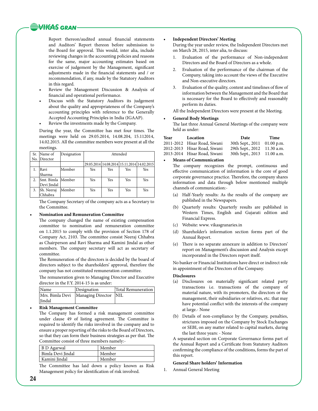## **WIGAS GRAN**

Report thereon/audited annual financial statements and Auditors' Report thereon before submission to the Board for approval. This would, inter alia, include reviewing changes in the accounting policies and reasons for the same, major accounting estimates based on exercise of judgement by the Management, significant adjustments made in the financial statements and / or recommendation, if any, made by the Statutory Auditors in this regard.

- Review the Management Discussion & Analysis of financial and operational performance.
- Discuss with the Statutory Auditors its judgement about the quality and appropriateness of the Company's accounting principles with reference to the Generally Accepted Accounting Principles in India (IGAAP).
- Review the investments made by the Company.

During the year, the Committee has met four times. The meetings were held on 29.05.2014, 14.08.204, 15.112014, 14.02.2015. All the committee members were present at all the meetings.

| Sr. | Name of            | Designation |     |     | Attended                                    |     |
|-----|--------------------|-------------|-----|-----|---------------------------------------------|-----|
| No. | Director           |             |     |     |                                             |     |
|     |                    |             |     |     | 29.05.2014 14.08.2014 15.11.2014 14.02.2015 |     |
|     | <b>Ravi</b>        | Member      | Yes | Yes | Yes                                         | Yes |
|     | Sharma             |             |     |     |                                             |     |
|     | Smt. Bimla  Member |             | Yes | Yes | Yes                                         | Yes |
|     | Devi Jindal        |             |     |     |                                             |     |
| 3.  | Sh. Neeraj         | Member      | Yes | Yes | Yes                                         | Yes |
|     | Chhabra            |             |     |     |                                             |     |

The Company Secretary of the company acts as a Secretary to the Committee.

## **• Nomination and Remuneration Committee**

The company changed the name of existing compensation committee to nomination and remuneration committee on 1.1.2015 to comply with the provision of Section 178 of Company Act, 2103. The committee consist Neeraj Chhabra as Chairperson and Ravi Sharma and Kamini Jindal as other members. The company secretary will act as secretary of committee.

The Remuneration of the directors is decided by the board of directors subject to the shareholders' approval, therefore the company has not constituted remuneration committee.

The remuneration given to Managing Director and Executive director in the F.Y. 2014-15 is as under:

| <b>Name</b> | Designation                               | Total Remuneration |
|-------------|-------------------------------------------|--------------------|
|             | Mrs. Bimla Devi   Managing Director   NIL |                    |
| Jindal      |                                           |                    |

## **Risk Management Committee**

The Company has formed a risk management committee under clause 49 of listing agreement. The Committee is required to identify the risks involved in the company and to ensure a proper reporting of the risks to the Board of Directors, so that they can form their business strategies as per that. The Committee consist of three members namely:-

| B D Agarwal       | Member |
|-------------------|--------|
| Bimla Devi Jindal | Member |
| Kamini Jindal     | Member |
|                   |        |

The Committee has laid down a policy known as Risk Management policy for identification of risk involved.

## **• Independent Directors' Meeting**

During the year under review, the Independent Directors met on March 28, 2015, inter alia, to discuss:

- 1. Evaluation of the performance of Non-independent Directors and the Board of Directors as a whole.
- 2. Evaluation of the performance of the chairman of the Company, taking into account the views of the Executive and Non-executive directors.
- 3. Evaluation of the quality, content and timelines of flow of information between the Management and the Board that is necessary for the Board to effectively and reasonably perform its duties.

All the Independent Directors were present at the Meeting.

### **• General Body Meetings**

The last three Annual General Meetings of the company were held as under:

| Year | Location                     | <b>Date</b>                 | Time |
|------|------------------------------|-----------------------------|------|
|      | 2011-2012 Hisar Road, Siwani | 30th Sept., 2011 01.00 p.m. |      |
|      | 2012-2013 Hisar Road, Siwani | 29th Sept., 2012 11.30 a.m. |      |
|      | 2013-2014 Hisar Road, Siwani | 30th Sept., 2013 11.00 a.m. |      |

## **Means** of **Communication**

The company recognizes the prompt, continuous and effective communication of information is the core of good corporate governance practice. Therefore, the company shares information and data through below mentioned multiple channels of communication:-

- (a) Half-Yearly results: As the results of the company are published in the Newspapers.
- (b) Quarterly results: Quarterly results are published in Western Times, English and Gujarati edition and Financial Express.
- (c) Website: www. vikasgranaries.in
- (d) Shareholder's information section forms part of the Annual Report.
- (e) There is no separate annexure in addition to Directors' report on Management's discussion and Analysis except incorporated in the Directors report itself.

No banker or Financial Institutions have direct or indirect role in appointment of the Directors of the Company.

#### **Disclosures**

- (a) Disclosures on materially significant related party transactions i.e. transactions of the company of material nature, with its promoters, the directors or the management, their subsidiaries or relatives, etc. that may have potential conflict with the interests of the company at large.- None
- (b) Details of non-compliance by the Company, penalties, strictures imposed on the Company by Stock Exchanges or SEBI, on any matter related to capital markets, during the last three years: - None

A separated section on Corporate Governance forms part of the Annual Report and a Certificate from Statutory Auditors confirming the compliance of the conditions, forms the part of this report.

#### **General Share holders' Information**

1. Annual General Meeting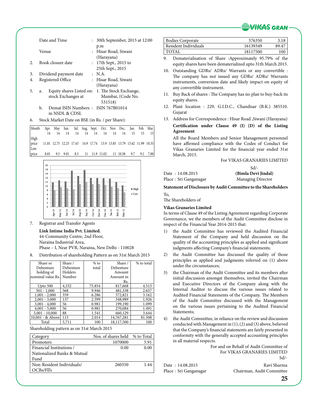![](_page_26_Picture_0.jpeg)

|    |       | Date and Time            |                      | : 30th September, 2015 at 12:00<br>p.m      |
|----|-------|--------------------------|----------------------|---------------------------------------------|
|    | Venue |                          | $\ddot{\phantom{a}}$ | Hisar Road, Siwani<br>(Harayana)            |
|    |       | Book closure date        |                      | $: 17th$ Sept., 2015 to<br>25th Sept., 2015 |
| 3. |       | Dividend payment date    |                      | $\cdot$ N.A.                                |
| 4. |       | Registered Office        |                      | : Hisar Road, Siwani                        |
|    |       |                          |                      | (Harayana)                                  |
| 5. | a.    | Equity shares Listed on: |                      | 1. The Stock Exchange,                      |
|    |       | stock Exchanges at       |                      | Mumbai, (Code No.                           |
|    |       |                          |                      | 531518)                                     |

- b. Demat ISIN Numbers : ISIN 767B01014 in NSDL & CDSL
- 6. Stock Market Date on BSE (in Rs. / per Share):

| Month Apr. May Jun. Jul. Aug. Sept. Oct. Nov. Dec. Jan. Feb. Mar. |  |                                                                       |  |  |  |  |
|-------------------------------------------------------------------|--|-----------------------------------------------------------------------|--|--|--|--|
|                                                                   |  | 14   14   14   14   14   14   14   14   15   15   15                  |  |  |  |  |
| High                                                              |  |                                                                       |  |  |  |  |
| price                                                             |  | 11.81 12.75 12.25 17.43 14.9 17.74 13.9 13.85 13.79 13.62 11.99 10.35 |  |  |  |  |
| Low                                                               |  |                                                                       |  |  |  |  |
| price 8.01 9.5 9.01 8.5 11 11.9 11.02 11 10.58 9.7 9.1 7.00       |  |                                                                       |  |  |  |  |

![](_page_26_Figure_5.jpeg)

7. Registrar and Transfer Agents

**Link Intime India Pvt. Limited.** 44-Community Centre, 2nd Floor, Naraina Industrial Area, Phase – I, Near PVR, Naraina, New Delhi - 110028

8. Distribution of shareholding Pattern as on 31st March 2015

| Share or          | Share /   | $%$ to | Share /    | % to total |
|-------------------|-----------|--------|------------|------------|
| Debenture         | Debenture | total  | Debenture  |            |
| holding of        | Holders   |        | Amount     |            |
| nominal value Rs. | Number    |        | Amount in  |            |
|                   |           |        | Rs.        |            |
| Upto 500          | 4,332     | 75.854 | 817,668    | 4.513      |
| $501 - 1,000$     | 568       | 9.946  | 481,338    | 2.657      |
| $1,001 - 2,000$   | 359       | 6.286  | 572,821    | 3.162      |
| $2,001 - 3,000$   | 137       | 2.399  | 348,989    | 1.926      |
| $3,001 - 4,000$   | 56        | 0.981  | 199,190    | 1.099      |
| $4,001 - 5,000$   | 56        | 0.981  | 270,084    | 1.491      |
| $5,001 - 10,000$  | 88        | 1.541  | 660,129    | 3.644      |
| 10,001 - & Above  | 115       | 2.014  | 14,767,281 | 81.508     |
| Total             | 5.711     | 100    | 18,117,500 | 100        |

## Shareholding pattern as on 31st March 2015

| Category                    | Nos. of shares held % to Total |      |
|-----------------------------|--------------------------------|------|
| Promoters                   | 1070000                        | 5.91 |
| Financial Institutions /    | 0.00                           | 0.00 |
| Nationalized Banks & Mutual |                                |      |
| Fund                        |                                |      |
| Non-Resident Individuals/   | 260350                         | 1.44 |
| OCBs/Fll's                  |                                |      |

| Bodies Corporate     | 576350   |       |
|----------------------|----------|-------|
| Resident Individuals | 16139349 | 89.47 |
| ' TOTAL              | 18117500 | 10C   |

- 9. Dematerialisation of Share :Approximately 95.79% of the equity shares have been dematerialized upto 31th March 2015.
- 10. Outstanding GDRs/ ADRs/ Warrants or any convertible : The company has not issued any GDRs/ ADRs/ Warrants instruments, conversion date and likely impact on equity of any convertible instrument.
- 11. Buy Back of shares : The Company has no plan to buy-back its equity shares.
- 12. Plant location : 229, G.I.D.C., Chandisar (B.K.) 385510. Gujarat
- 13. Address for Correspondence : Hisar Road ,Siwani (Harayana) **Certification under Clause 49 (I) (D) of the Listing Agreement**

All the Board Members and Senior Management personnel have affirmed compliance with the Codes of Conduct for Vikas Granaries Limited for the financial year ended 31st March, 2015.

## For VIKAS GRANARIES LIMITED

Sd/-

Place : Sri Ganganagar Managing Director

Date : 14.08.2015 **(Bimla Devi Jindal)**

## **Statement of Disclosure by Audit Committee to the Shareholders**

To, The Shareholders of

## **Vikas Granaries Limited**

In terms of Clause 49 of the Listing Agreement regarding Corporate Governance, we the members of the Audit Committee disclose in respect of the Financial Year 2014-2015 that:

- 1) the Audit Committee has reviewed the Audited Financial Statement of the Company and held discussion on the quality of the accounting principles as applied and significant judgments affecting Company's financial statements;
- 2) the Audit Committee has discussed the quality of those principles as applied and judgments referred on (1) above under the circumstances;
- 3) the Chairman of the Audit Committee and its members after initial discussion amongst themselves, invited the Chairman and Executive Directors of the Company along with the Internal Auditor to discuss the various issues related to Audited Financial Statements of the Company. The Members of the Audit Committee discussed with the Management on the various issues pertaining to the Audited Financial Statements;

4) the Audit Committee, in reliance on the review and discussion conducted with Management in (1), (2) and (3) above, believed that the Company's financial statements are fairly presented in conformity with the generally accepted accounting principles in all material respects.

 For and on Behalf of Audit Committee of For VIKAS GRANARIES LIMITED Sd/-

Date : 14.08.2015 Ravi Sharma

Place : Sri Ganganagar Chairman, Audit Committee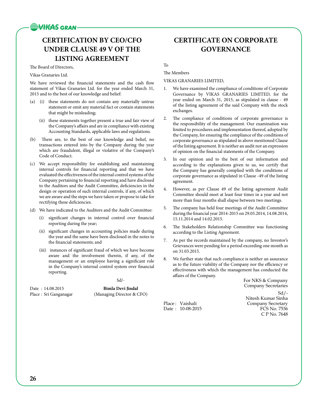## **WIGAS GRAN**

## **CERTIFICATION BY CEO/CFO UNDER CLAUSE 49 V OF THE LISTING AGREEMENT**

## The Board of Directors,

## Vikas Granaries Ltd.

We have reviewed the financial statements and the cash flow statement of Vikas Granaries Ltd. for the year ended March 31, 2015 and to the best of our knowledge and belief:

- (a) (i) these statements do not contain any materially untrue statement or omit any material fact or contain statements that might be misleading;
	- (ii) these statements together present a true and fair view of the Company's affairs and are in compliance with existing Accounting Standards, applicable laws and regulations.
- (b) There are, to the best of our knowledge and belief, no transactions entered into by the Company during the year which are fraudulent, illegal or violative of the Company's Code of Conduct.
- (c) We accept responsibility for establishing and maintaining internal controls for financial reporting and that we have evaluated the effectiveness of the internal control systems of the Company pertaining to financial reporting and have disclosed to the Auditors and the Audit Committee, deficiencies in the design or operation of such internal controls, if any, of which we are aware and the steps we have taken or propose to take for rectifying these deficiencies.
- (d) We have indicated to the Auditors and the Audit Committee:
	- (i) significant changes in internal control over financial reporting during the year;
	- (ii) significant changes in accounting policies made during the year and the same have been disclosed in the notes to the financial statements; and
	- (iii) instances of significant fraud of which we have become aware and the involvement therein, if any, of the management or an employee having a significant role in the Company's internal control system over financial reporting.

## Sd/-

Date : 14.08.2015 **Bimla Devi Jindal** Place : Sri Ganganagar (Managing Director & CFO)

## **CERTIFICATE ON CORPORATE GOVERNANCE**

To

The Members

VIKAS GRANARIES LIMITED,

- 1. We have examined the compliance of conditions of Corporate Governance by VIKAS GRANARIES LIMITED, for the year ended on March 31, 2015, as stipulated in clause - 49 of the listing agreement of the said Company with the stock exchanges.
- 2. The compliance of conditions of corporate governance is the responsibility of the management. Our examination was limited to procedures and implementation thereof, adopted by the Company, for ensuring the compliance of the conditions of corporate governance as stipulated in above mentioned Clause of the listing agreement. It is neither an audit nor an expression of opinion on the financial statements of the Company.
- 3. In our opinion and to the best of our information and according to the explanations given to us, we certify that the Company has generally complied with the conditions of corporate governance as stipulated in Clause -49 of the listing agreement.
- 4. However, as per Clause 49 of the listing agreement Audit Committee should meet at least four times in a year and not more than four months shall elapse between two meetings.
- 5. The company has held four meetings of the Audit Committee during the financial year 2014-2015 on 29.05.2014, 14.08.2014, 15.11.2014 and 14.02.2015.
- 6. The Stakeholders Relationship Committee was functioning according to the Listing Agreement.
- 7. As per the records maintained by the company, no Investor's Grievances were pending for a period exceeding one month as on 31.03.2015.
- We further state that such compliance is neither an assurance as to the future viability of the Company nor the efficiency or effectiveness with which the management has conducted the affairs of the Company.

For NKS & Company Company Secretaries  $Sd$  /-Nitesh Kumar Sinha Place : Vaishali Company Secretary C P No. 7648

Date:  $10-08-2015$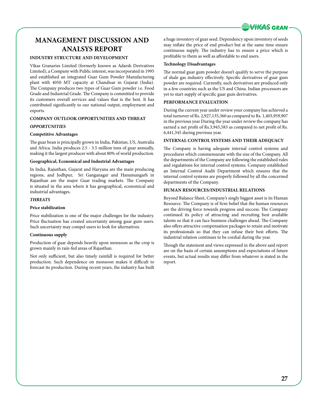![](_page_28_Picture_0.jpeg)

## **MANAGEMENT DISCUSSION AND ANALSYS REPORT**

## **INDUSTRY STRUCTURE AND DEVELOPMENT**

Vikas Granaries Limited (formerly known as Adarsh Derivatives Limited), a Company with Public interest, was incorporated in 1995 and established an integrated Guar Gum Powder Manufacturing plant with 4050 MT capacity at Chandisar in Gujarat (India). The Company produces two types of Guar Gum powder i.e. Food Grade and Industrial Grade. The Company is committed to provide its customers overall services and values that is the best. It has contributed significantly to our national output, employment and exports.

## **COMPANY OUTLOOK OPPORTUNITIES AND THREAT**

## *OPPORTUNITIES*

## **Competitive Advantages**

The guar bean is principally grown in India, Pakistan, US, Australia and Africa. India produces 2.5 - 3.5 million tons of guar annually, making it the largest producer with about 80% of world production.

## **Geographical, Economical and Industrial Advantages**

In India, Rajasthan, Gujarat and Haryana are the main producing regions, and Jodhpur, Sri Ganganagar and Hanumangarh in Rajasthan are the major Guar trading markets. The Company is situated in the area where it has geographical, economical and industrial advantages.

## *THREATS*

## **Price stabilization**

Price stabilization is one of the major challenges for the industry. Price fluctuation has created uncertainty among guar gum users. Such uncertainty may compel users to look for alternatives.

### **Continuous supply**

Production of guar depends heavily upon monsoon as the crop is grown mainly in rain-fed areas of Rajasthan.

Not only sufficient, but also timely rainfall is required for better production. Such dependence on monsoon makes it difficult to forecast its production. During recent years, the industry has built a huge inventory of guar seed. Dependency upon inventory of seeds may inflate the price of end product but at the same time ensure continuous supply. The industry has to ensure a price which is profitable to them as well as affordable to end users.

## **Technology Disadvantages**

The normal guar gum powder doesn't qualify to serve the purpose of shale gas industry effectively. Specific derivatives of guar gum powder are required. Currently, such derivatives are produced only in a few countries such as the US and China. Indian processors are yet to start supply of specific guar gum derivatives.

## **PERFORMANCE EVALUATION**

During the current year under review your company has achieved a total turnover of Rs. 2,927,135,360 as compared to Rs. 1,403,959,907 in the previous year During the year under review the company has earned a net profit of Rs.3,945,583 as compared to net profit of Rs. 6,441,345 during previous year.

## **INTERNAL CONTROL SYSTEMS AND THEIR ADEQUACY**

The Company is having adequate internal control systems and procedures which commensurate with the size of the Company. All the departments of the Company are following the established rules and regulations for internal control systems. Company established an Internal Control Audit Department which ensures that the internal control systems are properly followed by all the concerned departments of the Company.

## **HUMAN RESOURCES/INDUSTRIAL RELATIONS**

Beyond Balance Sheet, Company's singly biggest asset is its Human Resource. The Company is of firm belief that the human resources are the driving force towards progress and success. The Company continued its policy of attracting and recruiting best available talents so that it can face business challenges ahead. The Company also offers attractive compensation packages to retain and motivate its professionals so that they can infuse their best efforts. The industrial relation continues to be cordial during the year.

Though the statement and views expressed in the above said report are on the basis of certain assumptions and expectations of future events, but actual results may differ from whatever is stated in the report.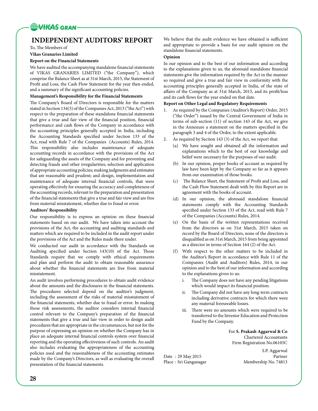![](_page_29_Picture_0.jpeg)

## **INDEPENDENT AUDITORS' REPORT**

To, The Members of

**Vikas Granaries Limited**

## **Report on the Financial Statements**

We have audited the accompanying standalone financial statements of VIKAS GRANARIES LIMITED ("the Company"), which comprise the Balance Sheet as at 31st March, 2015, the Statement of Profit and Loss, the Cash Flow Statement for the year then ended, and a summary of the significant accounting policies.

## **Management's Responsibility for the Financial Statements**

The Company's Board of Directors is responsible for the matters stated in Section 134(5) of the Companies Act, 2013 ("the Act") with respect to the preparation of these standalone financial statements that give a true and fair view of the financial position, financial performance and cash flows of the Company in accordance with the accounting principles generally accepted in India, including the Accounting Standards specified under Section 133 of the Act, read with Rule 7 of the Companies (Accounts) Rules, 2014. This responsibility also includes maintenance of adequate accounting records in accordance with the provisions of the Act for safeguarding the assets of the Company and for preventing and detecting frauds and other irregularities; selection and application of appropriate accounting policies; making judgments and estimates that are reasonable and prudent; and design, implementation and maintenance of adequate internal financial controls, that were operating effectively for ensuring the accuracy and completeness of the accounting records, relevant to the preparation and presentation of the financial statements that give a true and fair view and are free from material misstatement, whether due to fraud or error.

## **Auditors' Responsibility**

Our responsibility is to express an opinion on these financial statements based on our audit. We have taken into account the provisions of the Act, the accounting and auditing standards and matters which are required to be included in the audit report under the provisions of the Act and the Rules made there under.

We conducted our audit in accordance with the Standards on Auditing specified under Section 143(10) of the Act. Those Standards require that we comply with ethical requirements and plan and perform the audit to obtain reasonable assurance about whether the financial statements are free from material misstatement.

An audit involves performing procedures to obtain audit evidence about the amounts and the disclosures in the financial statements. The procedures selected depend on the auditor's judgment, including the assessment of the risks of material misstatement of the financial statements, whether due to fraud or error. In making those risk assessments, the auditor considers internal financial control relevant to the Company's preparation of the financial statements that give a true and fair view in order to design audit procedures that are appropriate in the circumstances, but not for the purpose of expressing an opinion on whether the Company has in place an adequate internal financial controls system over financial reporting and the operating effectiveness of such controls. An audit also includes evaluating the appropriateness of the accounting policies used and the reasonableness of the accounting estimates made by the Company's Directors, as well as evaluating the overall presentation of the financial statements.

We believe that the audit evidence we have obtained is sufficient and appropriate to provide a basis for our audit opinion on the standalone financial statements.

## **Opinion**

In our opinion and to the best of our information and according to the explanations given to us, the aforesaid standalone financial statements give the information required by the Act in the manner so required and give a true and fair view in conformity with the accounting principles generally accepted in India, of the state of affairs of the Company as at 31st March, 2015, and its profit/loss and its cash flows for the year ended on that date.

## **Report on Other Legal and Regulatory Requirements**

- 1. As required by the Companies (Auditor's Report) Order, 2015 ("the Order") issued by the Central Government of India in terms of sub-section (11) of section 143 of the Act, we give in the Annexure a statement on the matters specified in the paragraph 3 and 4 of the Order, to the extent applicable.
- As required by Section 143 (3) of the Act, we report that:
	- (a) We have sought and obtained all the information and explanations which to the best of our knowledge and belief were necessary for the purposes of our audit.
	- (b) In our opinion, proper books of account as required by law have been kept by the Company so far as it appears from our examination of those books.
	- (c) The Balance Sheet, the Statement of Profit and Loss, and the Cash Flow Statement dealt with by this Report are in agreement with the books of account.
	- (d) In our opinion, the aforesaid standalone financial statements comply with the Accounting Standards specified under Section 133 of the Act, read with Rule 7 of the Companies (Accounts) Rules, 2014.
	- (e) On the basis of the written representations received from the directors as on 31st March, 2015 taken on record by the Board of Directors, none of the directors is disqualified as on 31st March, 2015 from being appointed as a director in terms of Section 164 (2) of the Act.
	- (f) With respect to the other matters to be included in the Auditor's Report in accordance with Rule 11 of the Companies (Audit and Auditors) Rules, 2014, in our opinion and to the best of our information and according to the explanations given to us:
		- i. The Company does not have any pending litigations which would impact its financial position.
		- ii. The Company did not have any long-term contracts including derivative contracts for which there were any material foreseeable losses.
		- iii. There were no amounts which were required to be transferred to the Investor Education and Protection Fund by the Company.

 For **S. Prakash Aggarwal & Co** Chartered Accountants Firm Registration No.06105C

Date : 29 May 2015 Partner Place : Sri Ganganagar Membership No. 74813

S.P. Aggarwal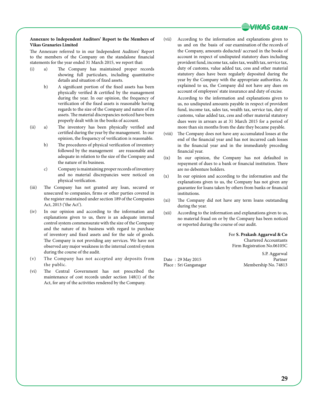![](_page_30_Picture_0.jpeg)

### **Annexure to Independent Auditors' Report to the Members of Vikas Granaries Limited**

The Annexure referred to in our Independent Auditors' Report to the members of the Company on the standalone financial statements for the year ended 31 March 2015, we report that:

- (i) a) The Company has maintained proper records showing full particulars, including quantitative details and situation of fixed assets.
	- b) A significant portion of the fixed assets has been physically verified & certified by the management during the year. In our opinion, the frequency of verification of the fixed assets is reasonable having regards to the size of the Company and nature of its assets. The material discrepancies noticed have been properly dealt with in the books of account.
- (ii) a) The inventory has been physically verified and certified during the year by the management. In our opinion, the frequency of verification is reasonable.
	- b) The procedures of physical verification of inventory followed by the management are reasonable and adequate in relation to the size of the Company and the nature of its business.
	- c) Company is maintaining proper records of inventory and no material discrepancies were noticed on physical verification.
- (iii) The Company has not granted any loan, secured or unsecured to companies, firms or other parties covered in the register maintained under section 189 of the Companies Act, 2013 ('the Act').
- (iv) In our opinion and according to the information and explanations given to us, there is an adequate internal control system commensurate with the size of the Company and the nature of its business with regard to purchase of inventory and fixed assets and for the sale of goods. The Company is not providing any services. We have not observed any major weakness in the internal control system during the course of the audit.
- (v) The Company has not accepted any deposits from the public.
- (vi) The Central Government has not prescribed the maintenance of cost records under section 148(1) of the Act, for any of the activities rendered by the Company.
- (vii) According to the information and explanations given to us and on the basis of our examination of the records of the Company, amounts deducted/ accrued in the books of account in respect of undisputed statutory dues including provident fund, income tax, sales tax, wealth tax, service tax, duty of customs, value added tax, cess and other material statutory dues have been regularly deposited during the year by the Company with the appropriate authorities. As explained to us, the Company did not have any dues on account of employees' state insurance and duty of excise. According to the information and explanations given to us, no undisputed amounts payable in respect of provident fund, income tax, sales tax, wealth tax, service tax, duty of customs, value added tax, cess and other material statutory dues were in arrears as at 31 March 2015 for a period of more than six months from the date they became payable.
- (viii) The Company does not have any accumulated losses at the end of the financial year and has not incurred cash losses in the financial year and in the immediately preceding financial year.
- (ix) In our opinion, the Company has not defaulted in repayment of dues to a bank or financial institution. There are no debenture holders.
- (x) In our opinion and according to the information and the explanations given to us, the Company has not given any guarantee for loans taken by others from banks or financial institutions.
- (xi) The Company did not have any term loans outstanding during the year.
- (xii) According to the information and explanations given to us, no material fraud on or by the Company has been noticed or reported during the course of our audit.

 For **S. Prakash Aggarwal & Co** Chartered Accountants Firm Registration No.06105C

Date:  $29$  May 2015 Place : Sri Ganganagar Membership No. 74813

S.P. Aggarwal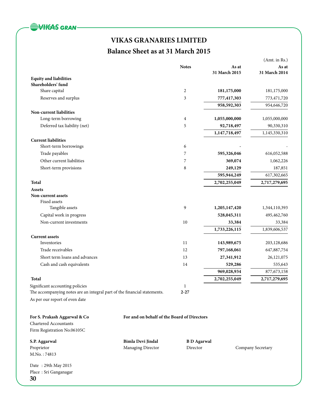![](_page_31_Picture_0.jpeg)

## **Balance Sheet as at 31 March 2015**

|                                                                          |                                             |                    |               | (Amt. in Rs.)     |
|--------------------------------------------------------------------------|---------------------------------------------|--------------------|---------------|-------------------|
|                                                                          |                                             | <b>Notes</b>       | As at         | As at             |
| <b>Equity and liabilities</b>                                            |                                             |                    | 31 March 2015 | 31 March 2014     |
| Shareholders' fund                                                       |                                             |                    |               |                   |
| Share capital                                                            |                                             | $\overline{c}$     | 181,175,000   | 181,175,000       |
| Reserves and surplus                                                     |                                             | 3                  | 777,417,303   | 773,471,720       |
|                                                                          |                                             |                    | 958,592,303   | 954,646,720       |
| Non-current liabilities                                                  |                                             |                    |               |                   |
| Long-term borrowing                                                      |                                             | 4                  | 1,055,000,000 | 1,055,000,000     |
| Deferred tax liability (net)                                             |                                             | 5                  | 92,718,497    | 90,330,310        |
|                                                                          |                                             |                    | 1,147,718,497 | 1,145,330,310     |
| <b>Current liabilities</b>                                               |                                             |                    |               |                   |
| Short-term borrowings                                                    |                                             | 6                  |               |                   |
| Trade payables                                                           |                                             | 7                  | 595,326,046   | 616,052,588       |
| Other current liabilities                                                |                                             | 7                  | 369,074       | 1,062,226         |
| Short-term provisions                                                    |                                             | 8                  | 249,129       | 187,851           |
|                                                                          |                                             |                    | 595,944,249   | 617,302,665       |
| <b>Total</b>                                                             |                                             |                    | 2,702,255,049 | 2,717,279,695     |
| Assets                                                                   |                                             |                    |               |                   |
| Non-current assets<br>Fixed assets                                       |                                             |                    |               |                   |
| Tangible assets                                                          |                                             | 9                  | 1,205,147,420 | 1,344,110,393     |
| Capital work in progress                                                 |                                             |                    | 528,045,311   | 495,462,760       |
| Non-current investments                                                  |                                             | 10                 | 33,384        | 33,384            |
|                                                                          |                                             |                    | 1,733,226,115 | 1,839,606,537     |
| <b>Current assets</b>                                                    |                                             |                    |               |                   |
| Inventories                                                              |                                             | 11                 | 143,989,675   | 203,128,686       |
| Trade receivables                                                        |                                             | 12                 | 797,168,061   | 647,887,754       |
| Short term loans and advances                                            |                                             | 13                 | 27,341,912    | 26,121,075        |
| Cash and cash equivalents                                                |                                             | 14                 | 529,286       | 535,643           |
|                                                                          |                                             |                    | 969,028,934   | 877,673,158       |
| <b>Total</b>                                                             |                                             |                    | 2,702,255,049 | 2,717,279,695     |
| Significant accounting policies                                          |                                             | $\mathbf{1}$       |               |                   |
| The accompanying notes are an integral part of the financial statements. |                                             | $2 - 27$           |               |                   |
| As per our report of even date                                           |                                             |                    |               |                   |
|                                                                          |                                             |                    |               |                   |
| For S. Prakash Aggarwal & Co                                             | For and on behalf of the Board of Directors |                    |               |                   |
| Chartered Accountants                                                    |                                             |                    |               |                   |
| Firm Registration No.06105C                                              |                                             |                    |               |                   |
| S.P. Aggarwal                                                            | <b>Bimla Devi Jindal</b>                    | <b>B</b> D Agarwal |               |                   |
| Proprietor                                                               | Managing Director                           | Director           |               | Company Secretary |
| M.No.: 74813                                                             |                                             |                    |               |                   |
|                                                                          |                                             |                    |               |                   |
| Date: 29th May 2015<br>Place: Sri Ganganagar                             |                                             |                    |               |                   |
|                                                                          |                                             |                    |               |                   |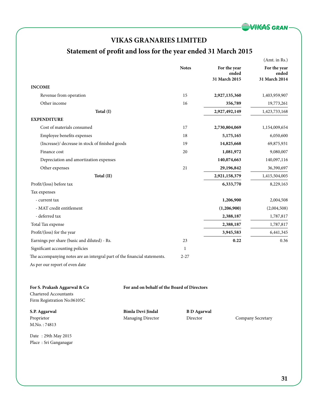![](_page_32_Picture_0.jpeg)

## **Statement of profit and loss for the year ended 31 March 2015**

|                                                                           |                                             |                    |                                        | (Amt. in Rs.)                          |
|---------------------------------------------------------------------------|---------------------------------------------|--------------------|----------------------------------------|----------------------------------------|
|                                                                           |                                             | <b>Notes</b>       | For the year<br>ended<br>31 March 2015 | For the year<br>ended<br>31 March 2014 |
| <b>INCOME</b>                                                             |                                             |                    |                                        |                                        |
| Revenue from operation                                                    |                                             | 15                 | 2,927,135,360                          | 1,403,959,907                          |
| Other income                                                              |                                             | 16                 | 356,789                                | 19,773,261                             |
| Total (I)                                                                 |                                             |                    | 2,927,492,149                          | 1,423,733,168                          |
| <b>EXPENDITURE</b>                                                        |                                             |                    |                                        |                                        |
| Cost of materials consumed                                                |                                             | 17                 | 2,730,804,069                          | 1,154,009,654                          |
| Employee benefits expenses                                                |                                             | 18                 | 5,175,165                              | 6,050,600                              |
| (Increase)/ decrease in stock of finished goods                           |                                             | 19                 | 14,825,668                             | 69,875,931                             |
| Finance cost                                                              |                                             | 20                 | 1,081,972                              | 9,080,007                              |
| Depreciation and amortization expenses                                    |                                             |                    | 140,074,663                            | 140,097,116                            |
| Other expenses                                                            |                                             | 21                 | 29,196,842                             | 36,390,697                             |
| Total (II)                                                                |                                             |                    | 2,921,158,379                          | 1,415,504,005                          |
| Profit/(loss) before tax                                                  |                                             |                    | 6,333,770                              | 8,229,163                              |
| Tax expenses                                                              |                                             |                    |                                        |                                        |
| - current tax                                                             |                                             |                    | 1,206,900                              | 2,004,508                              |
| - MAT credit entitlement                                                  |                                             |                    | (1,206,900)                            | (2,004,508)                            |
| - deferred tax                                                            |                                             |                    | 2,388,187                              | 1,787,817                              |
| Total Tax expense                                                         |                                             |                    | 2,388,187                              | 1,787,817                              |
| Profit/(loss) for the year                                                |                                             |                    | 3,945,583                              | 6,441,345                              |
| Earnings per share (basic and diluted) - Rs.                              |                                             | 23                 | 0.22                                   | 0.36                                   |
| Significant accounting policies                                           |                                             | $\mathbf{1}$       |                                        |                                        |
| The accompanying notes are an intergral part of the financial statements. |                                             | $2 - 27$           |                                        |                                        |
| As per our report of even date                                            |                                             |                    |                                        |                                        |
| For S. Prakash Aggarwal & Co<br><b>Chartered Accountants</b>              | For and on behalf of the Board of Directors |                    |                                        |                                        |
| Firm Registration No.06105C                                               |                                             |                    |                                        |                                        |
| S.P. Aggarwal                                                             | Bimla Devi Jindal                           | <b>B</b> D Agarwal |                                        |                                        |
| Proprietor                                                                | <b>Managing Director</b>                    | Director           |                                        | Company Secretary                      |

Date : 29th May 2015 Place : Sri Ganganagar

M.No. : 74813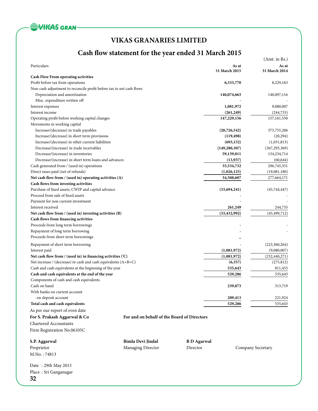![](_page_33_Picture_0.jpeg)

## **Cash flow statement for the year ended 31 March 2015**

|                                                                      |                                             |                    |                        | (Amt. in Rs.)          |
|----------------------------------------------------------------------|---------------------------------------------|--------------------|------------------------|------------------------|
| Particulars                                                          |                                             |                    | As at<br>31 March 2015 | As at<br>31 March 2014 |
| Cash Flow From operating activities                                  |                                             |                    |                        |                        |
| Profit before tax from operations                                    |                                             |                    | 6,333,770              | 8,229,163              |
| Non-cash adjustment to reconcile profit before tax to net cash flows |                                             |                    |                        |                        |
| Depreciation and amortization                                        |                                             |                    | 140,074,663            | 140,097,116            |
| Misc. expenditure written off                                        |                                             |                    |                        |                        |
| Interest expenses                                                    |                                             |                    | 1,081,972              | 9,080,007              |
| Interest income                                                      |                                             |                    | (261, 249)             | (244, 735)             |
| Operating profit before working capital changes                      |                                             |                    | 147,229,156            | 157, 161, 550          |
| Movements in working capital                                         |                                             |                    |                        |                        |
| Increase/(decrease) in trade payables                                |                                             |                    | (20,726,542)           | 373,755,206            |
| Increase/(decrease) in short term provisions                         |                                             |                    | (119, 498)             | (20, 294)              |
| Increase/(decrease) in other current liabilities                     |                                             |                    | (693, 152)             | (1,031,813)            |
| Decrease/(increase) in trade receivables                             |                                             |                    | (149, 280, 307)        | (367, 293, 369)        |
| Decrease/(increase) in inventories                                   |                                             |                    | 59,139,011             | 134,234,714            |
| Decrease/(increase) in short term loans and advances                 |                                             |                    | (13, 937)              | (60, 644)              |
| Cash generated from / (used in) operations                           |                                             |                    | 35,534,732             | 296,745,351            |
| Direct taxes paid (net of refunds)                                   |                                             |                    | (1,026,125)            | (19,081,180)           |
| Net cash flow from / (used in) operating activities (A)              |                                             |                    | 34,508,607             | 277,664,171            |
| Cash flows from investing activities                                 |                                             |                    |                        |                        |
| Purchase of fixed assets, CWIP and capital advance                   |                                             |                    | (33,694,241)           | (45,744,447)           |
| Proceed from sale of fixed assets                                    |                                             |                    |                        |                        |
| Payment for non current investment                                   |                                             |                    |                        |                        |
| Interest received                                                    |                                             |                    | 261,249                | 244,735                |
| Net cash flow from / (used in) investing activities (B)              |                                             |                    | (33, 432, 992)         | (45, 499, 712)         |
| Cash flows from financing activities                                 |                                             |                    |                        |                        |
| Proceeds from long term borrowings                                   |                                             |                    |                        |                        |
| Repayment of long term borrowing                                     |                                             |                    |                        |                        |
| Proceeds from short term borrowings                                  |                                             |                    |                        |                        |
| Repayment of short term borrowing                                    |                                             |                    |                        | (223,360,264)          |
| Interest paid                                                        |                                             |                    | (1,081,972)            | (9,080,007)            |
| Net cash flow from / (used in) in financing activities ('C)          |                                             |                    | (1,081,972)            | (232, 440, 271)        |
| Net increase / (decrease) in cash and cash equivalents (A+B+C)       |                                             |                    | (6,357)                | (275, 812)             |
| Cash and cash equivalents at the beginning of the year               |                                             |                    | 535,643                | 811,455                |
| Cash and cash equivalents at the end of the year                     |                                             |                    | 529,286                | 535,643                |
| Components of cash and cash equivalents                              |                                             |                    |                        |                        |
| Cash on hand                                                         |                                             |                    | 239,873                | 313,719                |
| With banks on current account                                        |                                             |                    |                        |                        |
| -on deposit account                                                  |                                             |                    | 289,413                | 221,924                |
| Total cash and cash equivalents                                      |                                             |                    | 529,286                | 535,643                |
| As per our report of even date                                       |                                             |                    |                        |                        |
| For S. Prakash Aggarwal & Co                                         | For and on behalf of the Board of Directors |                    |                        |                        |
| Chartered Accountants                                                |                                             |                    |                        |                        |
|                                                                      |                                             |                    |                        |                        |
| Firm Registration No.06105C                                          |                                             |                    |                        |                        |
| S.P. Aggarwal                                                        | <b>Bimla Devi Jindal</b>                    | <b>B</b> D Agarwal |                        |                        |
| Proprietor                                                           | Managing Director                           | Director           |                        | Company Secretary      |
| M.No.: 74813                                                         |                                             |                    |                        |                        |
| Date: 29th May 2015                                                  |                                             |                    |                        |                        |
| Place: Sri Ganganagar                                                |                                             |                    |                        |                        |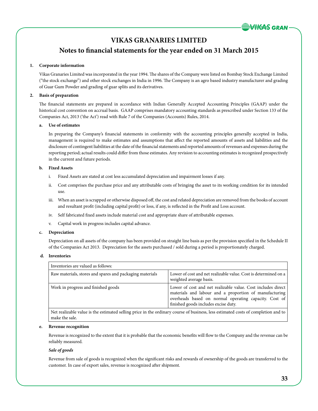## **Notes to financial statements for the year ended on 31 March 2015**

## **1. Corporate information**

Vikas Granaries Limited was incorporated in the year 1994. The shares of the Company were listed on Bombay Stock Exchange Limited ("the stock exchange") and other stock exchanges in India in 1996. The Company is an agro based industry manufacturer and grading of Guar Gum Powder and grading of guar splits and its derivatives.

## **2. Basis of preparation**

The financial statements are prepared in accordance with Indian Generally Accepted Accounting Principles (GAAP) under the historical cost convention on accrual basis. GAAP comprises mandatory accounting standards as prescribed under Section 133 of the Companies Act, 2013 ('the Act') read with Rule 7 of the Companies (Accounts) Rules, 2014.

## **a. Use of estimates**

In preparing the Company's financial statements in conformity with the accounting principles generally accepted in India, management is required to make estimates and assumptions that affect the reported amounts of assets and liabilities and the disclosure of contingent liabilities at the date of the financial statements and reported amounts of revenues and expenses during the reporting period; actual results could differ from those estimates. Any revision to accounting estimates is recognized prospectively in the current and future periods.

## **b. Fixed Assets**

- i. Fixed Assets are stated at cost less accumulated depreciation and impairment losses if any.
- ii. Cost comprises the purchase price and any attributable costs of bringing the asset to its working condition for its intended use.
- iii. When an asset is scrapped or otherwise disposed off, the cost and related depreciation are removed from the books of account and resultant profit (including capital profit) or loss, if any, is reflected in the Profit and Loss account.
- iv. Self fabricated fixed assets include material cost and appropriate share of attributable expenses.
- v. Capital work in progress includes capital advance.

### **c. Depreciation**

Depreciation on all assets of the company has been provided on straight line basis as per the provision specified in the Schedule II of the Companies Act 2013. Depreciation for the assets purchased / sold during a period is proportionately charged.

### **d. Inventories**

| Inventories are valued as follows:                       |                                                                                                                                                                                                                         |
|----------------------------------------------------------|-------------------------------------------------------------------------------------------------------------------------------------------------------------------------------------------------------------------------|
| Raw materials, stores and spares and packaging materials | Lower of cost and net realizable value. Cost is determined on a<br>weighted average basis.                                                                                                                              |
| Work in progress and finished goods                      | Lower of cost and net realizable value. Cost includes direct<br>materials and labour and a proportion of manufacturing<br>overheads based on normal operating capacity. Cost of<br>finished goods includes excise duty. |

Net realizable value is the estimated selling price in the ordinary course of business, less estimated costs of completion and to make the sale.

### **e. Revenue recognition**

Revenue is recognized to the extent that it is probable that the economic benefits will flow to the Company and the revenue can be reliably measured.

### *Sale of goods*

Revenue from sale of goods is recognized when the significant risks and rewards of ownership of the goods are transferred to the customer. In case of export sales, revenue is recognized after shipment.

**VIKAS GRAN**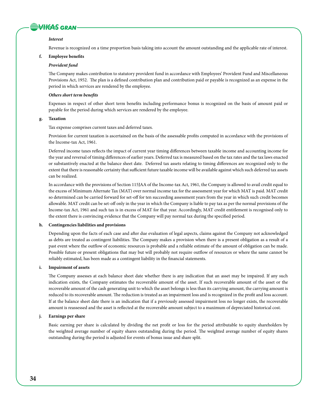## **WIGAS GRAN**

### *Interest*

Revenue is recognized on a time proportion basis taking into account the amount outstanding and the applicable rate of interest.

## **f. Employee benefits**

### *Provident fund*

The Company makes contribution to statutory provident fund in accordance with Employees' Provident Fund and Miscellaneous Provisions Act, 1952. The plan is a defined contribution plan and contribution paid or payable is recognized as an expense in the period in which services are rendered by the employee.

#### *Others short term benefits*

Expenses in respect of other short term benefits including performance bonus is recognized on the basis of amount paid or payable for the period during which services are rendered by the employee.

## **g. Taxation**

Tax expense comprises current taxes and deferred taxes.

Provision for current taxation is ascertained on the basis of the assessable profits computed in accordance with the provisions of the Income-tax Act, 1961.

Deferred income taxes reflects the impact of current year timing differences between taxable income and accounting income for the year and reversal of timing differences of earlier years. Deferred tax is measured based on the tax rates and the tax laws enacted or substantively enacted at the balance sheet date. Deferred tax assets relating to timing differences are recognized only to the extent that there is reasonable certainty that sufficient future taxable income will be available against which such deferred tax assets can be realized.

In accordance with the provisions of Section 115JAA of the Income-tax Act, 1961, the Company is allowed to avail credit equal to the excess of Minimum Alternate Tax (MAT) over normal income tax for the assessment year for which MAT is paid. MAT credit so determined can be carried forward for set-off for ten succeeding assessment years from the year in which such credit becomes allowable. MAT credit can be set-off only in the year in which the Company is liable to pay tax as per the normal provisions of the Income-tax Act, 1961 and such tax is in excess of MAT for that year. Accordingly, MAT credit entitlement is recognised only to the extent there is convincing evidence that the Company will pay normal tax during the specified period.

## **h. Contingencies liabilities and provisions**

Depending upon the facts of each case and after due evaluation of legal aspects, claims against the Company not acknowledged as debts are treated as contingent liabilities. The Company makes a provision when there is a present obligation as a result of a past event where the outflow of economic resources is probable and a reliable estimate of the amount of obligation can be made. Possible future or present obligations that may but will probably not require outflow of resources or where the same cannot be reliably estimated, has been made as a contingent liability in the financial statements.

### **i. Impairment of assets**

The Company assesses at each balance sheet date whether there is any indication that an asset may be impaired. If any such indication exists, the Company estimates the recoverable amount of the asset. If such recoverable amount of the asset or the recoverable amount of the cash generating unit to which the asset belongs is less than its carrying amount, the carrying amount is reduced to its recoverable amount. The reduction is treated as an impairment loss and is recognized in the profit and loss account. If at the balance sheet date there is an indication that if a previously assessed impairment loss no longer exists, the recoverable amount is reassessed and the asset is reflected at the recoverable amount subject to a maximum of depreciated historical cost.

#### **j. Earnings per share**

Basic earning per share is calculated by dividing the net profit or loss for the period attributable to equity shareholders by the weighted average number of equity shares outstanding during the period. The weighted average number of equity shares outstanding during the period is adjusted for events of bonus issue and share split.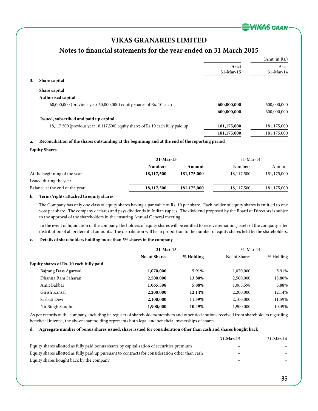**VIKAS GRAN** 

## **VIKAS GRANARIES LIMITED**

## **Notes to financial statements for the year ended on 31 March 2015**

|    |                                                                                 |             | (Amt. in Rs.) |
|----|---------------------------------------------------------------------------------|-------------|---------------|
|    |                                                                                 | As at       | As at         |
|    |                                                                                 | 31-Mar-15   | 31-Mar-14     |
| 3. | Share capital                                                                   |             |               |
|    | Share capital                                                                   |             |               |
|    | Authorised capital                                                              |             |               |
|    | $60,000,000$ (previous year $60,000,000$ ) equity shares of Rs. 10 each         | 600,000,000 | 600,000,000   |
|    |                                                                                 | 600,000,000 | 600,000,000   |
|    | Issued, subscribed and paid up capital                                          |             |               |
|    | 18,117,500 (previous year 18,117,500) equity shares of Rs.10 each fully paid up | 181,175,000 | 181,175,000   |
|    |                                                                                 | 181,175,000 | 181,175,000   |

## **a. Reconciliation of the shares outstanding at the beginning and at the end of the reporting period**

## **Equity Shares**

|                                | $31$ -Mar-15   |                          | $31$ -Mar-14   |             |
|--------------------------------|----------------|--------------------------|----------------|-------------|
|                                | <b>Numbers</b> | Amount                   | <b>Numbers</b> | Amount      |
| At the beginning of the year   | 18,117,500     | 181,175,000              | 18,117,500     | 181,175,000 |
| Issued during the year         |                | $\overline{\phantom{0}}$ | -              |             |
| Balance at the end of the year | 18,117,500     | 181,175,000              | 18,117,500     | 181,175,000 |

## **b. Terms/rights attached to equity shares**

The Company has only one class of equity shares having a par value of Rs. 10 per share. Each holder of equity shares is entitled to one vote per share. The company declares and pays dividends in Indian rupees. The dividend proposed by the Board of Directors is subjec to the approval of the shareholders in the ensuring Annual General meeting.

 In the event of liquidation of the company, the holders of equity shares will be entitled to receive remaining assets of the company, after distribution of all preferential amounts. The distribution will be in proportion to the number of equity shares held by the shareholders.

## **c. Details of shareholders holding more than 5% shares in the company**

|                                         | $31$ -Mar-15         |           | $31-Mar-14$   |           |
|-----------------------------------------|----------------------|-----------|---------------|-----------|
|                                         | <b>No. of Shares</b> | % Holding | No. of Shares | % Holding |
| Equity shares of Rs. 10 each fully paid |                      |           |               |           |
| Bajrang Dass Agarwal                    | 1,070,000            | 5.91%     | 1,070,000     | 5.91%     |
| Dhanna Ram Saharan                      | 2,500,000            | 13.80%    | 2,500,000     | 13.80%    |
| Amit Babbar                             | 1,065,598            | 5.88%     | 1,065,598     | 5.88%     |
| Girish Kansal                           | 2,200,000            | 12.14%    | 2,200,000     | 12.14%    |
| Sarbati Devi                            | 2,100,000            | 11.59%    | 2,100,000     | 11.59%    |
| Nir Singh Sandhu                        | 1,900,000            | 10.49%    | 1,900,000     | 10.49%    |
|                                         |                      |           |               |           |

As per records of the company, including its register of shareholders/members and other declarations received from shareholders regarding beneficial interest, the above shareholding represents both legal and beneficial ownerships of shares.

## **d. Agreegate number of bonus shares issued, share issued for consideration other than cash and shares bought back**

|                                                                                                 | $31$ -Mar-15             | $31 - Mar - 14$ |
|-------------------------------------------------------------------------------------------------|--------------------------|-----------------|
| Equity shares allotted as fully paid bonus shares by capitalization of securities premium       | $\overline{\phantom{0}}$ |                 |
| Equity shares allotted as fully paid up pursuant to contracts for consideration other than cash |                          |                 |
| Equity shares bought back by the company                                                        |                          |                 |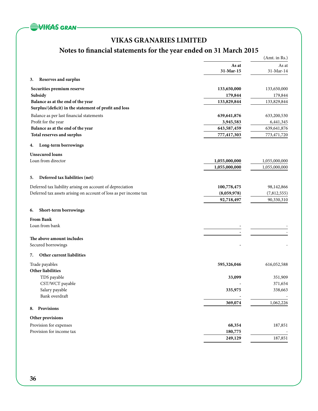![](_page_37_Picture_0.jpeg)

## **Notes to financial statements for the year ended on 31 March 2015**

|                                                                  |               | (Amt. in Rs.) |
|------------------------------------------------------------------|---------------|---------------|
|                                                                  | As at         | As at         |
|                                                                  | 31-Mar-15     | 31-Mar-14     |
| Reserves and surplus<br>3.                                       |               |               |
| Securities premium reserve                                       | 133,650,000   | 133,650,000   |
| Subsidy                                                          | 179,844       | 179,844       |
| Balance as at the end of the year                                | 133,829,844   | 133,829,844   |
| Surplus/(deficit) in the statement of profit and loss            |               |               |
| Balance as per last financial statements                         | 639,641,876   | 633,200,530   |
| Profit for the year                                              | 3,945,583     | 6,441,345     |
| Balance as at the end of the year                                | 643,587,459   | 639, 641, 876 |
| Total reserves and surplus                                       | 777,417,303   | 773,471,720   |
| Long-term borrowings<br>4.                                       |               |               |
| <b>Unsecured loans</b>                                           |               |               |
| Loan from director                                               | 1,055,000,000 | 1,055,000,000 |
|                                                                  | 1,055,000,000 | 1,055,000,000 |
| Deferred tax liabilities (net)<br>5.                             |               |               |
| Deferred tax liability arising on account of depreciation        | 100,778,475   | 98,142,866    |
| Deferred tax assets arising on account of loss as per income tax | (8,059,978)   | (7,812,555)   |
|                                                                  | 92,718,497    | 90,330,310    |
| Short-term borrowings<br>6.                                      |               |               |
| <b>From Bank</b>                                                 |               |               |
| Loan from bank                                                   |               |               |
|                                                                  |               |               |
| The above amount includes                                        |               |               |
| Secured borrowings                                               |               |               |
| Other current liabilities<br>7.                                  |               |               |
| Trade payables                                                   | 595,326,046   | 616,052,588   |
| Other liabilities                                                |               |               |
| TDS payable                                                      | 33,099        | 351,909       |
| CST/WCT payable                                                  |               | 371,654       |
| Salary payable<br>Bank overdraft                                 | 335,975       | 338,663       |
|                                                                  | 369,074       | 1,062,226     |
| Provisions<br>8.                                                 |               |               |
| Other provisions                                                 |               |               |
| Provision for expenses                                           | 68,354        | 187,851       |
| Provision for income tax                                         | 180,775       |               |
|                                                                  | 249,129       | 187,851       |
|                                                                  |               |               |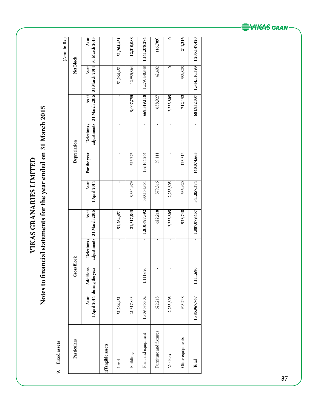9. Fixed assets **9. Fixed assets** 

**VIKAS GRANARIES LIMITED**

VIKAS GRANARIES LIMITED

**Notes to financial statements for the year ended on 31 March 2015**

Notes to financial statements for the year ended on 31 March 2015

(Amt. in Rs.) (Amt. in Rs.)

| Particulars            |               | <b>Gross Block</b>                             |           |                                           |                              | Depreciation  |                                 |                        | Net Block              | , את התורה והודר.      |
|------------------------|---------------|------------------------------------------------|-----------|-------------------------------------------|------------------------------|---------------|---------------------------------|------------------------|------------------------|------------------------|
|                        | As at         | <b>Additions</b><br>April 2014 during the year | Deletions | adjustments 31 March 2015<br><b>As at</b> | <b>As at</b><br>1 April 2014 | For the year  | adjustments<br><b>Deletions</b> | 31 March 2015<br>As at | 31 March 2014<br>As at | 31 March 2015<br>As at |
| i)Tangible assets      |               |                                                |           |                                           |                              |               |                                 |                        |                        |                        |
| Land                   | 51,264,451    |                                                |           | 51,264,451                                | ı                            |               | ı                               | ī                      | 51,264,451             | 51,264,451             |
| Buildings              | 21,317,843    |                                                | ı         | 21,317,843                                | 8,331,979                    | 675,776       | ı                               | 9,007,755              | 12,985,864             | 12,310,088             |
| Plant and equipment    | 1,809,585,702 | 1,111,690                                      |           | 1,810,697,392                             | 530,154,854                  | 139, 164, 264 | ı                               | 669,319,118            | 1,279,430,848          | 1,141,378,274          |
| Furniture and fixtures | 622,218       |                                                | t         | 622,218                                   | 579,816                      | 59,111        | ı                               | 638,927                | 42,402                 | (16,709)               |
| Vehicles               | 2,253,805     |                                                | J.        | 2,253,805                                 | 2,253,805                    | ١             | ١                               | 2,253,805              | 0                      |                        |
| Office equipments      | 923,748       |                                                | ı         | 923,748                                   | 536,920                      | 175,512       | ı                               | 712,432                | 386,828                | 211,316                |
| Total                  | 1,885,967,767 | 1,111,690                                      |           | 1,887,079,457                             | 541,857,374                  | 140,074,663   | f,                              | 681,932,037            | 1,344,110,393          | 1,205,147,420          |

![](_page_38_Picture_4.jpeg)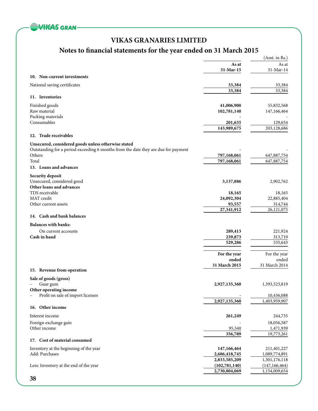![](_page_39_Picture_0.jpeg)

## **Notes to financial statements for the year ended on 31 March 2015**

|                                                                                    |                        | (Amt. in Rs.)          |
|------------------------------------------------------------------------------------|------------------------|------------------------|
|                                                                                    | As at                  | As at                  |
|                                                                                    | 31-Mar-15              | 31-Mar-14              |
| 10. Non-current investments                                                        |                        |                        |
| National saving certificates                                                       | 33,384                 | 33,384                 |
|                                                                                    | 33,384                 | 33,384                 |
| 11. Inventories                                                                    |                        |                        |
| Finished goods                                                                     | 41,006,900             | 55,832,568             |
| Raw material                                                                       | 102,781,140            | 147,166,464            |
| Packing materials                                                                  |                        |                        |
| Consumables                                                                        | 201,635                | 129,654                |
|                                                                                    | 143,989,675            | 203,128,686            |
| 12. Trade receivables                                                              |                        |                        |
| Unsecured, considered goods unless otherwise stated                                |                        |                        |
| Outstanding for a period exceeding 6 months from the date they are due for payment |                        |                        |
| Others                                                                             | 797,168,061            | 647,887,754            |
| Total                                                                              | 797,168,061            | 647,887,754            |
| 13. Loans and advances                                                             |                        |                        |
| <b>Security deposit</b>                                                            |                        |                        |
| Unsecured, considered good                                                         | 3,137,886              | 2,902,762              |
| Other loans and advances                                                           |                        |                        |
| TDS receivable                                                                     | 18,165                 | 18,165                 |
| MAT credit                                                                         | 24,092,304             | 22,885,404             |
| Other current assets                                                               | 93,557                 | 314,744                |
|                                                                                    | 27,341,912             | 26,121,075             |
| 14. Cash and bank balances                                                         |                        |                        |
| <b>Balances with banks:</b>                                                        |                        |                        |
| On current accounts                                                                | 289,413                | 221,924                |
| Cash in hand                                                                       | 239,873                | 313,719                |
|                                                                                    | 529,286                | 535,643                |
|                                                                                    |                        |                        |
|                                                                                    | For the year           | For the year           |
|                                                                                    | ended<br>31 March 2015 | ended<br>31 March 2014 |
| 15. Revenue from operation                                                         |                        |                        |
| Sale of goods (gross)                                                              |                        |                        |
| Guar gum                                                                           | 2,927,135,360          | 1,393,523,819          |
| Other operating income                                                             |                        |                        |
| Profit on sale of import licenses                                                  |                        | 10,436,088             |
|                                                                                    | 2,927,135,360          | 1,403,959,907          |
| 16. Other income                                                                   |                        |                        |
| Interest income                                                                    | 261,249                | 244,735                |
| Foreign exchange gain                                                              |                        | 18,056,587             |
| Other income                                                                       | 95,540                 | 1,471,939              |
|                                                                                    | 356,789                | 19,773,261             |
| 17. Cost of material consumed                                                      |                        |                        |
| Inventory at the beginning of the year                                             | 147,166,464            | 211,401,227            |
| Add: Purchases                                                                     | 2,686,418,745          | 1,089,774,891          |
|                                                                                    | 2,833,585,209          | 1,301,176,118          |
| Less: Inventory at the end of the year                                             | (102, 781, 140)        | (147, 166, 464)        |
|                                                                                    | 2,730,804,069          | 1,154,009,654          |
| 38                                                                                 |                        |                        |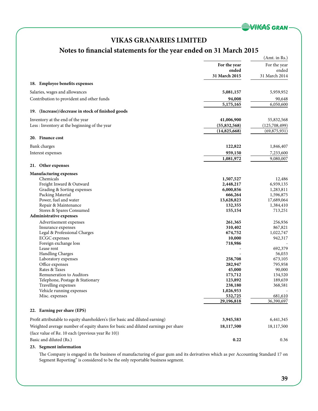![](_page_40_Picture_0.jpeg)

## **Notes to financial statements for the year ended on 31 March 2015**

|                                                                                   |                        | (Amt. in Rs.)          |
|-----------------------------------------------------------------------------------|------------------------|------------------------|
|                                                                                   | For the year           | For the year           |
|                                                                                   | ended                  | ended                  |
|                                                                                   | 31 March 2015          | 31 March 2014          |
| 18. Employee benefits expenses                                                    |                        |                        |
|                                                                                   |                        |                        |
| Salaries, wages and allowances                                                    | 5,081,157              | 5,959,952              |
| Contribution to provident and other funds                                         | 94,008                 | 90,648                 |
|                                                                                   | 5,175,165              | 6,050,600              |
| (Increase)/decrease in stock of finished goods<br>19.                             |                        |                        |
| Inventory at the end of the year                                                  | 41,006,900             | 55,832,568             |
| Less: Inventory at the beginning of the year                                      | (55,832,568)           | (125,708,499)          |
|                                                                                   | (14,825,668)           | (69, 875, 931)         |
| 20. Finance cost                                                                  |                        |                        |
| Bank charges                                                                      | 122,822                | 1,846,407              |
|                                                                                   | 959,150                |                        |
| Interest expenses                                                                 |                        | 7,233,600<br>9,080,007 |
|                                                                                   | 1,081,972              |                        |
| 21. Other expenses                                                                |                        |                        |
| <b>Manufacturing expenses</b>                                                     |                        |                        |
| Chemicals<br>Freight Inward & Outward                                             | 1,507,527<br>2,448,217 | 12,486<br>6,939,135    |
| Grading & Sorting expenses                                                        | 6,000,856              | 1,283,811              |
| Packing Material                                                                  | 666,264                | 1,596,875              |
| Power, fuel and water                                                             | 13,628,823             | 17,689,064             |
| Repair & Maintenance                                                              | 132,355                | 1,384,410              |
| Stores & Spares Consumed                                                          | 155,154                | 713,251                |
| <b>Administrative expenses</b>                                                    |                        |                        |
| Advertisement expenses                                                            | 261,365                | 256,936                |
| Insurance expenses                                                                | 310,402                | 867,821                |
| Legal & Professional Charges                                                      | 674,752                | 1,022,747              |
| <b>ECGC</b> expenses                                                              | 10,000                 | 942,317                |
| Foreign exchange loss                                                             | 718,986                |                        |
| Lease rent                                                                        |                        | 692,379                |
| Handling Charges                                                                  |                        | 56,033                 |
| Laboratory expenses                                                               | 258,708                | 673,105                |
| Office expenses                                                                   | 282,947                | 795,958                |
| Rates & Taxes<br>Remuneration to Auditors                                         | 45,000                 | 90,000                 |
|                                                                                   | 173,712<br>123,892     | 134,520<br>189,659     |
| Telephone, Postage & Stationary<br>Travelling expenses                            | 238,180                | 368,581                |
| Vehicle running expenses                                                          | 1,026,953              |                        |
| Misc. expenses                                                                    | 532,725                | 681,610                |
|                                                                                   | 29,196,818             | 36,390,697             |
| 22. Earning per share (EPS)                                                       |                        |                        |
|                                                                                   |                        |                        |
| Profit attributable to equity shareholders's (for basic and diluted earning)      | 3,945,583              | 6,441,345              |
| Weighted average number of equity shares for basic and diluted earnings per share | 18,117,500             | 18,117,500             |
| (face value of Re. 10 each (previous year Re 10))                                 |                        |                        |
| Basic and diluted (Rs.)                                                           | 0.22                   | 0.36                   |

## **23. Segment information**

The Company is engaged in the business of manufacturing of guar gum and its derivatives which as per Accounting Standard 17 on Segment Reporting" is considered to be the only reportable business segment.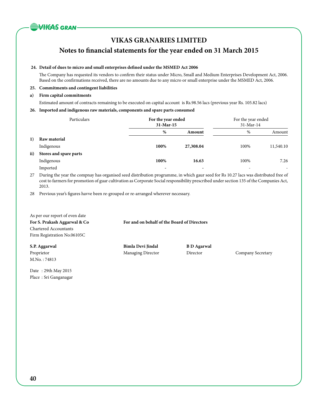![](_page_41_Picture_0.jpeg)

**Notes to financial statements for the year ended on 31 March 2015**

## **24. Detail of dues to micro and small enterprises defined under the MSMED Act 2006**

The Company has requested its vendors to confirm their status under Micro, Small and Medium Enterprises Development Act, 2006. Based on the confirmations received, there are no amounts due to any micro or small enterprise under the MSMED Act, 2006.

## **25. Commitments and contingent liabilities**

## **a) Firm capital commitments**

Estimated amount of contracts remaining to be executed on capital account is Rs.98.56 lacs (previous year Rs. 105.82 lacs)

## **26. Imported and indigenous raw materials, components and spare parts consumed**

|     | Particulars            | For the year ended<br>$31$ -Mar-15 |           | For the year ended<br>31-Mar-14 |                          |
|-----|------------------------|------------------------------------|-----------|---------------------------------|--------------------------|
|     |                        | %                                  | Amount    | %                               | Amount                   |
| 1)  | Raw material           |                                    |           |                                 |                          |
|     | Indigenous             | 100%                               | 27,308.04 | 100%                            | 11,540.10                |
| ii) | Stores and spare parts |                                    |           |                                 |                          |
|     | Indigenous             | 100%                               | 16.63     | 100%                            | 7.26                     |
|     | Imported               | $\overline{\phantom{0}}$           |           | -                               | $\overline{\phantom{a}}$ |

27 During the year the compnay has organised seed distribution programme, in which gaur seed for Rs 10.27 lacs was distributed free of cost to farmers for promotion of guar cultivation as Corporate Social responsibility prescribed under section 135 of the Companies Act, 2013.

28 Previous year's figures havve been re-grouped or re-arranged wherever necessary.

| As per our report of even date |                                             |                    |                   |
|--------------------------------|---------------------------------------------|--------------------|-------------------|
| For S. Prakash Aggarwal & Co   | For and on behalf of the Board of Directors |                    |                   |
| <b>Chartered Accountants</b>   |                                             |                    |                   |
| Firm Registration No.06105C    |                                             |                    |                   |
| S.P. Aggarwal                  | Bimla Devi Jindal                           | <b>B</b> D Agarwal |                   |
| Proprietor                     | Managing Director                           | Director           | Company Secretary |
| M.No.: 74813                   |                                             |                    |                   |
|                                |                                             |                    |                   |

Date : 29th May 2015 Place : Sri Ganganagar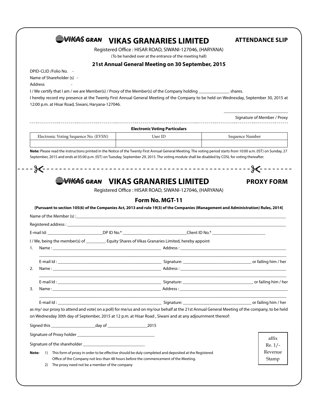|                                                   | WIKAS GRAN VIKAS GRANARIES LIMITED | Registered Office: HISAR ROAD, SIWANI-127046, (HARYANA)                                                                                                                                         |                                                                                                                                                                                              |
|---------------------------------------------------|------------------------------------|-------------------------------------------------------------------------------------------------------------------------------------------------------------------------------------------------|----------------------------------------------------------------------------------------------------------------------------------------------------------------------------------------------|
|                                                   |                                    | (To be handed over at the entrance of the meeting hall)                                                                                                                                         |                                                                                                                                                                                              |
| DPID-CLID / Folio No. -                           |                                    | 21st Annual General Meeting on 30 September, 2015                                                                                                                                               |                                                                                                                                                                                              |
| Name of Shareholder (s) -                         |                                    |                                                                                                                                                                                                 |                                                                                                                                                                                              |
| Address                                           |                                    |                                                                                                                                                                                                 |                                                                                                                                                                                              |
|                                                   |                                    | I/We certify that I am / we are Member(s) / Proxy of the Member(s) of the Company holding _________________ shares.                                                                             |                                                                                                                                                                                              |
|                                                   |                                    |                                                                                                                                                                                                 | I hereby record my presence at the Twenty First Annual General Meeting of the Company to be held on Wednesday, September 30, 2015 at                                                         |
| 12:00 p.m. at Hisar Road, Siwani, Haryana-127046. |                                    |                                                                                                                                                                                                 |                                                                                                                                                                                              |
|                                                   |                                    |                                                                                                                                                                                                 |                                                                                                                                                                                              |
|                                                   |                                    |                                                                                                                                                                                                 | Signature of Member / Proxy                                                                                                                                                                  |
|                                                   |                                    | <b>Electronic Voting Particulars</b>                                                                                                                                                            |                                                                                                                                                                                              |
| Electronic Voting Sequence No. (EVSN)             |                                    | User ID                                                                                                                                                                                         | Sequence Number                                                                                                                                                                              |
|                                                   |                                    |                                                                                                                                                                                                 |                                                                                                                                                                                              |
|                                                   |                                    |                                                                                                                                                                                                 | Note: Please read the instructions printed in the Notice of the Twenty First Annual General Meeting. The voting period starts from 10:00 a.m. (IST) on Sunday, 27                            |
|                                                   |                                    | September, 2015 and ends at 05:00 p.m. (IST) on Tuesday, September 29, 2015. The voting module shall be disabled by CDSL for voting thereafter.                                                 |                                                                                                                                                                                              |
|                                                   |                                    |                                                                                                                                                                                                 |                                                                                                                                                                                              |
|                                                   |                                    |                                                                                                                                                                                                 |                                                                                                                                                                                              |
|                                                   |                                    | SWIKAS GRAN VIKAS GRANARIES LIMITED                                                                                                                                                             | <b>PROXY FORM</b>                                                                                                                                                                            |
|                                                   |                                    | Registered Office: HISAR ROAD, SIWANI-127046, (HARYANA)<br>Form No. MGT-11                                                                                                                      | [Pursuant to section 105(6) of the Companies Act, 2013 and rule 19(3) of the Companies (Management and Administration) Rules, 2014]                                                          |
|                                                   |                                    |                                                                                                                                                                                                 |                                                                                                                                                                                              |
|                                                   |                                    |                                                                                                                                                                                                 |                                                                                                                                                                                              |
|                                                   |                                    | E-mail Id: _________________________________DP ID No.* ___________________________________Client ID No.* ______________________________                                                         |                                                                                                                                                                                              |
|                                                   |                                    | I/We, being the member(s) of ______________ Equity Shares of Vikas Granaries Limited, hereby appoint                                                                                            |                                                                                                                                                                                              |
|                                                   |                                    |                                                                                                                                                                                                 |                                                                                                                                                                                              |
|                                                   |                                    |                                                                                                                                                                                                 |                                                                                                                                                                                              |
| E-mail $Id:$                                      |                                    | Signature:                                                                                                                                                                                      |                                                                                                                                                                                              |
|                                                   |                                    |                                                                                                                                                                                                 |                                                                                                                                                                                              |
|                                                   |                                    |                                                                                                                                                                                                 |                                                                                                                                                                                              |
|                                                   |                                    |                                                                                                                                                                                                 |                                                                                                                                                                                              |
|                                                   |                                    |                                                                                                                                                                                                 |                                                                                                                                                                                              |
|                                                   |                                    |                                                                                                                                                                                                 |                                                                                                                                                                                              |
|                                                   |                                    |                                                                                                                                                                                                 |                                                                                                                                                                                              |
|                                                   |                                    |                                                                                                                                                                                                 |                                                                                                                                                                                              |
|                                                   |                                    | on Wednesday 30th day of September, 2015 at 12 p.m. at Hisar Road, Siwani and at any adjournment thereof:                                                                                       |                                                                                                                                                                                              |
|                                                   |                                    |                                                                                                                                                                                                 |                                                                                                                                                                                              |
|                                                   |                                    |                                                                                                                                                                                                 | affix                                                                                                                                                                                        |
|                                                   |                                    |                                                                                                                                                                                                 |                                                                                                                                                                                              |
| 1.<br>2.<br>3.<br>Note:                           |                                    |                                                                                                                                                                                                 | or failing him / her<br>as my/ our proxy to attend and vote( on a poll) for me/us and on my/our behalf at the 21st Annual General Meeting of the company, to be held<br>$Re. 1/-$<br>Revenue |
|                                                   |                                    | 1) This form of proxy in order to be effective should be duly completed and deposited at the Registered<br>Office of the Company not less than 48 hours before the commencement of the Meeting. | Stamp                                                                                                                                                                                        |